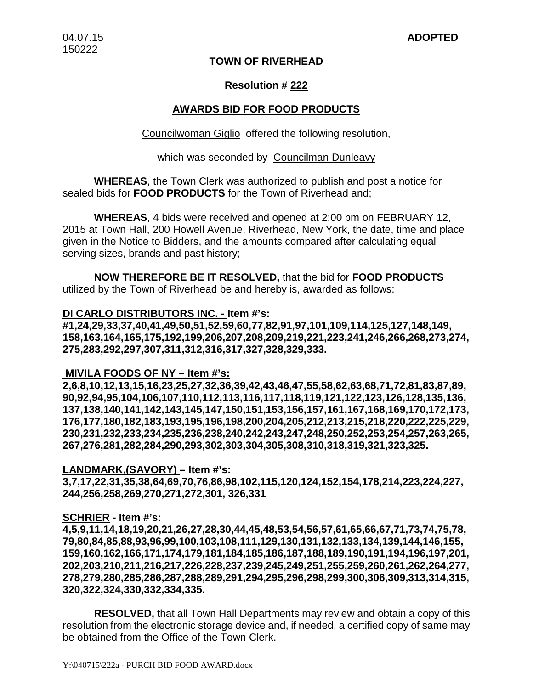# **TOWN OF RIVERHEAD**

# **Resolution # 222**

# **AWARDS BID FOR FOOD PRODUCTS**

Councilwoman Giglio offered the following resolution,

# which was seconded by Councilman Dunleavy

**WHEREAS**, the Town Clerk was authorized to publish and post a notice for sealed bids for **FOOD PRODUCTS** for the Town of Riverhead and;

**WHEREAS**, 4 bids were received and opened at 2:00 pm on FEBRUARY 12, 2015 at Town Hall, 200 Howell Avenue, Riverhead, New York, the date, time and place given in the Notice to Bidders, and the amounts compared after calculating equal serving sizes, brands and past history;

**NOW THEREFORE BE IT RESOLVED,** that the bid for **FOOD PRODUCTS** utilized by the Town of Riverhead be and hereby is, awarded as follows:

# **DI CARLO DISTRIBUTORS INC. - Item #'s:**

**#1,24,29,33,37,40,41,49,50,51,52,59,60,77,82,91,97,101,109,114,125,127,148,149, 158,163,164,165,175,192,199,206,207,208,209,219,221,223,241,246,266,268,273,274, 275,283,292,297,307,311,312,316,317,327,328,329,333.**

# **MIVILA FOODS OF NY – Item #'s:**

**2,6,8,10,12,13,15,16,23,25,27,32,36,39,42,43,46,47,55,58,62,63,68,71,72,81,83,87,89, 90,92,94,95,104,106,107,110,112,113,116,117,118,119,121,122,123,126,128,135,136, 137,138,140,141,142,143,145,147,150,151,153,156,157,161,167,168,169,170,172,173, 176,177,180,182,183,193,195,196,198,200,204,205,212,213,215,218,220,222,225,229, 230,231,232,233,234,235,236,238,240,242,243,247,248,250,252,253,254,257,263,265, 267,276,281,282,284,290,293,302,303,304,305,308,310,318,319,321,323,325.**

# **LANDMARK,(SAVORY) – Item #'s:**

**3,7,17,22,31,35,38,64,69,70,76,86,98,102,115,120,124,152,154,178,214,223,224,227, 244,256,258,269,270,271,272,301, 326,331**

# **SCHRIER - Item #'s:**

**4,5,9,11,14,18,19,20,21,26,27,28,30,44,45,48,53,54,56,57,61,65,66,67,71,73,74,75,78, 79,80,84,85,88,93,96,99,100,103,108,111,129,130,131,132,133,134,139,144,146,155, 159,160,162,166,171,174,179,181,184,185,186,187,188,189,190,191,194,196,197,201, 202,203,210,211,216,217,226,228,237,239,245,249,251,255,259,260,261,262,264,277, 278,279,280,285,286,287,288,289,291,294,295,296,298,299,300,306,309,313,314,315, 320,322,324,330,332,334,335.**

**RESOLVED,** that all Town Hall Departments may review and obtain a copy of this resolution from the electronic storage device and, if needed, a certified copy of same may be obtained from the Office of the Town Clerk.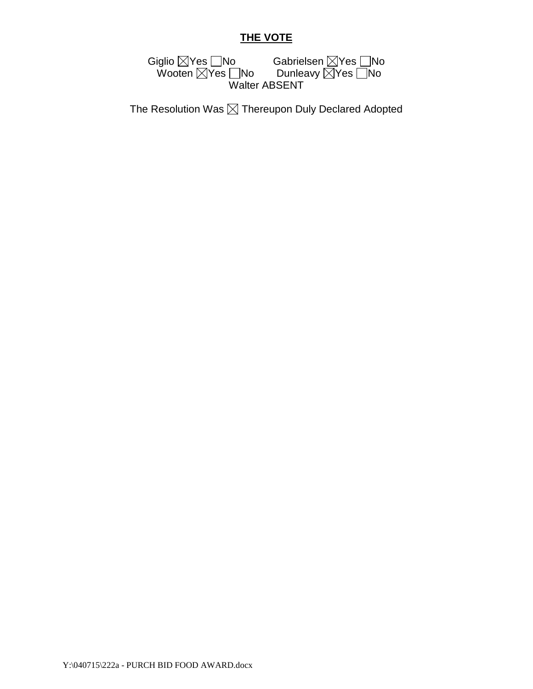# **THE VOTE**

Giglio  $\boxtimes$ Yes  $\Box$ No Gabrielsen  $\boxtimes$ Yes  $\Box$ No Wooten  $\boxtimes$ Yes  $\Box$ No Dunleavy  $\boxtimes$ Yes  $\Box$ No Walter ABSENT

The Resolution Was  $\boxtimes$  Thereupon Duly Declared Adopted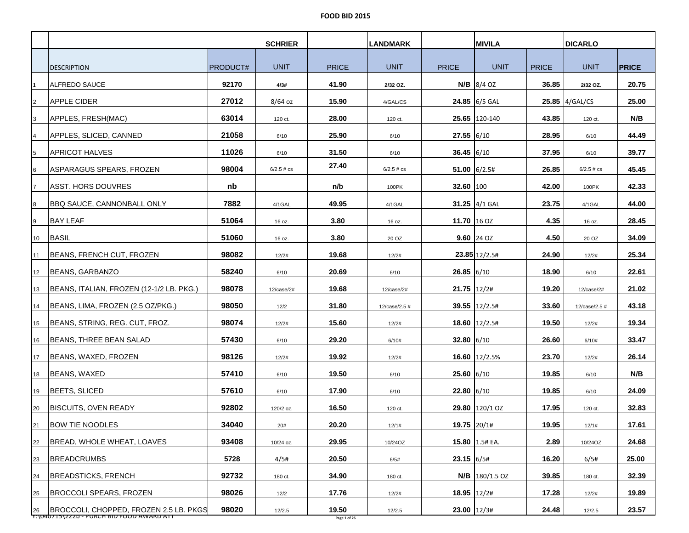|                |                                                                                             |                 | <b>SCHRIER</b> |                       | <b>LANDMARK</b> |                | <b>MIVILA</b>      |              | <b>DICARLO</b> |              |
|----------------|---------------------------------------------------------------------------------------------|-----------------|----------------|-----------------------|-----------------|----------------|--------------------|--------------|----------------|--------------|
|                | <b>DESCRIPTION</b>                                                                          | <b>PRODUCT#</b> | <b>UNIT</b>    | <b>PRICE</b>          | <b>UNIT</b>     | <b>PRICE</b>   | <b>UNIT</b>        | <b>PRICE</b> | <b>UNIT</b>    | <b>PRICE</b> |
|                | ALFREDO SAUCE                                                                               | 92170           | 4/3#           | 41.90                 | 2/32 OZ.        |                | <b>N/B</b> 8/4 OZ  | 36.85        | 2/32 OZ.       | 20.75        |
| 2              | APPLE CIDER                                                                                 | 27012           | $8/64$ oz      | 15.90                 | 4/GAL/CS        |                | 24.85 $6/5$ GAL    |              | 25.85 4/GAL/CS | 25.00        |
| 3              | APPLES, FRESH(MAC)                                                                          | 63014           | 120 ct.        | 28.00                 | 120 ct.         |                | 25.65 120-140      | 43.85        | 120 ct.        | N/B          |
|                | APPLES, SLICED, CANNED                                                                      | 21058           | 6/10           | 25.90                 | 6/10            | $27.55$ 6/10   |                    | 28.95        | 6/10           | 44.49        |
| 5              | <b>APRICOT HALVES</b>                                                                       | 11026           | 6/10           | 31.50                 | 6/10            | $36.45$ 6/10   |                    | 37.95        | 6/10           | 39.77        |
| 6              | ASPARAGUS SPEARS, FROZEN                                                                    | 98004           | $6/2.5 \# cs$  | 27.40                 | $6/2.5 \# cs$   |                | $51.00$ 6/2.5#     | 26.85        | $6/2.5 \# cs$  | 45.45        |
| $\overline{7}$ | IASST. HORS DOUVRES                                                                         | nb              |                | n/b                   | 100PK           | 32.60 100      |                    | 42.00        | 100PK          | 42.33        |
| 8              | <b>BBQ SAUCE, CANNONBALL ONLY</b>                                                           | 7882            | 4/1GAL         | 49.95                 | 4/1GAL          |                | 31.25 4/1 GAL      | 23.75        | 4/1GAL         | 44.00        |
| 9              | <b>BAY LEAF</b>                                                                             | 51064           | 16 oz.         | 3.80                  | 16 oz.          | 11.70 16 OZ    |                    | 4.35         | 16 oz.         | 28.45        |
| 10             | <b>BASIL</b>                                                                                | 51060           | 16 oz.         | 3.80                  | 20 OZ           |                | $9.60$ 24 OZ       | 4.50         | 20 OZ          | 34.09        |
| 11             | <b>IBEANS. FRENCH CUT. FROZEN</b>                                                           | 98082           | 12/2#          | 19.68                 | 12/2#           |                | 23.85 12/2.5#      | 24.90        | 12/2#          | 25.34        |
| 12             | BEANS, GARBANZO                                                                             | 58240           | 6/10           | 20.69                 | 6/10            | $26.85$ 6/10   |                    | 18.90        | 6/10           | 22.61        |
| 13             | BEANS, ITALIAN, FROZEN (12-1/2 LB. PKG.)                                                    | 98078           | 12/case/2#     | 19.68                 | 12/case/2#      | 21.75 12/2#    |                    | 19.20        | 12/case/2#     | 21.02        |
| 14             | BEANS, LIMA, FROZEN (2.5 OZ/PKG.)                                                           | 98050           | 12/2           | 31.80                 | 12/case/2.5 #   |                | 39.55 12/2.5#      | 33.60        | 12/case/2.5 #  | 43.18        |
| 15             | BEANS, STRING, REG. CUT, FROZ.                                                              | 98074           | 12/2#          | 15.60                 | 12/2#           |                | 18.60 12/2.5#      | 19.50        | 12/2#          | 19.34        |
| 16             | BEANS, THREE BEAN SALAD                                                                     | 57430           | 6/10           | 29.20                 | 6/10#           | $32.80$ 6/10   |                    | 26.60        | 6/10#          | 33.47        |
| 17             | BEANS, WAXED, FROZEN                                                                        | 98126           | 12/2#          | 19.92                 | 12/2#           |                | 16.60 12/2.5%      | 23.70        | 12/2#          | 26.14        |
| 18             | BEANS, WAXED                                                                                | 57410           | 6/10           | 19.50                 | 6/10            | $25.60$ 6/10   |                    | 19.85        | 6/10           | N/B          |
| 19             | BEETS, SLICED                                                                               | 57610           | 6/10           | 17.90                 | 6/10            | $22.80$ 6/10   |                    | 19.85        | 6/10           | 24.09        |
| 20             | <b>BISCUITS, OVEN READY</b>                                                                 | 92802           | 120/2 oz.      | 16.50                 | 120 ct.         |                | 29.80 120/1 OZ     | 17.95        | 120 ct.        | 32.83        |
| 21             | <b>BOW TIE NOODLES</b>                                                                      | 34040           | 20#            | 20.20                 | 12/1#           | $19.75$ 20/1#  |                    | 19.95        | 12/1#          | 17.61        |
| 22             | BREAD, WHOLE WHEAT, LOAVES                                                                  | 93408           | 10/24 oz.      | 29.95                 | 10/24OZ         |                | 15.80 1.5# EA.     | 2.89         | 10/24OZ        | 24.68        |
| 23             | <b>IBREADCRUMBS</b>                                                                         | 5728            | 4/5#           | 20.50                 | 6/5#            | 23.15 6/5#     |                    | 16.20        | 6/5#           | 25.00        |
| 24             | <b>BREADSTICKS, FRENCH</b>                                                                  | 92732           | 180 ct.        | 34.90                 | 180 ct.         |                | $N/B$   180/1.5 OZ | 39.85        | 180 ct.        | 32.39        |
| 25             | <b>BROCCOLI SPEARS, FROZEN</b>                                                              | 98026           | 12/2           | 17.76                 | 12/2#           | $18.95$ 12/2#  |                    | 17.28        | 12/2#          | 19.89        |
| 26             | <b>IBROCCOLI, CHOPPED, FROZEN 2.5 LB. PKGS</b><br>T:\U4U715\ZZZ0 - PURCH BID FOOD AWARD ATT | 98020           | 12/2.5         | 19.50<br>Page 1 of 26 | 12/2.5          | $23.00$  12/3# |                    | 24.48        | 12/2.5         | 23.57        |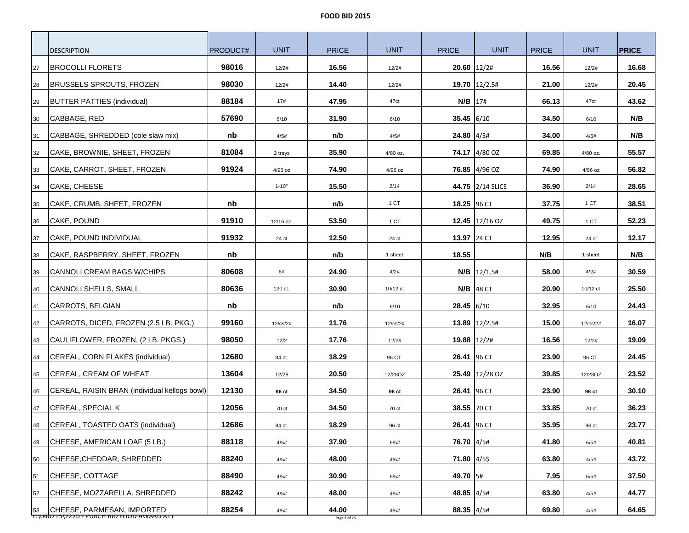|    | <b>DESCRIPTION</b>                                                      | <b>PRODUCT#</b> | <b>UNIT</b> | <b>PRICE</b>          | <b>UNIT</b> | <b>PRICE</b> | <b>UNIT</b>       | <b>PRICE</b> | <b>UNIT</b> | <b>PRICE</b> |
|----|-------------------------------------------------------------------------|-----------------|-------------|-----------------------|-------------|--------------|-------------------|--------------|-------------|--------------|
| 27 | <b>BROCOLLI FLORETS</b>                                                 | 98016           | 12/2#       | 16.56                 | 12/2#       |              | $20.60$ 12/2#     | 16.56        | 12/2#       | 16.68        |
| 28 | <b>BRUSSELS SPROUTS, FROZEN</b>                                         | 98030           | 12/2#       | 14.40                 | 12/2#       |              | 19.70 12/2.5#     | 21.00        | 12/2#       | 20.45        |
| 29 | <b>BUTTER PATTIES (individual)</b>                                      | 88184           | 17#         | 47.95                 | 47ct        | $N/B$ 17#    |                   | 66.13        | 47ct        | 43.62        |
| 30 | CABBAGE, RED                                                            | 57690           | 6/10        | 31.90                 | 6/10        | $35.45$ 6/10 |                   | 34.50        | 6/10        | N/B          |
| 31 | CABBAGE, SHREDDED (cole slaw mix)                                       | nb              | 4/5#        | n/b                   | 4/5#        | 24.80 4/5#   |                   | 34.00        | 4/5#        | N/B          |
| 32 | CAKE, BROWNIE, SHEET, FROZEN                                            | 81084           | 2 trays     | 35.90                 | 4/80 oz.    |              | 74.17 4/80 OZ     | 69.85        | 4/80 oz.    | 55.57        |
| 33 | CAKE, CARROT, SHEET, FROZEN                                             | 91924           | 4/96 oz     | 74.90                 | 4/96 oz     |              | 76.85 4/96 OZ     | 74.90        | 4/96 oz     | 56.82        |
| 34 | CAKE, CHEESE                                                            |                 | $1 - 10"$   | 15.50                 | 2/14        |              | 44.75 2/14 SLICE  | 36.90        | 2/14        | 28.65        |
| 35 | CAKE, CRUMB, SHEET, FROZEN                                              | nb              |             | n/b                   | 1 CT        | 18.25 96 CT  |                   | 37.75        | 1 CT        | 38.51        |
| 36 | CAKE, POUND                                                             | 91910           | 12/16 oz.   | 53.50                 | 1 CT        |              | 12.45 $12/16$ OZ  | 49.75        | 1 CT        | 52.23        |
| 37 | CAKE, POUND INDIVIDUAL                                                  | 91932           | 24 ct       | 12.50                 | 24 ct       | 13.97 24 CT  |                   | 12.95        | 24 ct       | 12.17        |
| 38 | CAKE, RASPBERRY, SHEET, FROZEN                                          | nb              |             | n/b                   | 1 sheet     | 18.55        |                   | N/B          | 1 sheet     | N/B          |
| 39 | <b>CANNOLI CREAM BAGS W/CHIPS</b>                                       | 80608           | 6#          | 24.90                 | 4/2#        |              | $N/B$ 12/1.5#     | 58.00        | 4/2#        | 30.59        |
| 40 | CANNOLI SHELLS, SMALL                                                   | 80636           | 120 ct.     | 30.90                 | 10/12 ct    |              | $N/B$ 48 CT       | 20.90        | 10/12 ct    | 25.50        |
| 41 | CARROTS, BELGIAN                                                        | nb              |             | n/b                   | 6/10        | $28.45$ 6/10 |                   | 32.95        | 6/10        | 24.43        |
| 42 | CARROTS, DICED, FROZEN (2.5 LB. PKG.)                                   | 99160           | $12$ /cs/2# | 11.76                 | 12/cs/2#    |              | $13.89$   12/2.5# | 15.00        | 12/cs/2#    | 16.07        |
| 43 | CAULIFLOWER, FROZEN, (2 LB. PKGS.)                                      | 98050           | 12/2        | 17.76                 | 12/2#       |              | 19.88 12/2#       | 16.56        | 12/2#       | 19.09        |
| 44 | CEREAL, CORN FLAKES (individual)                                        | 12680           | 84 ct.      | 18.29                 | 96 CT.      | 26.41 96 CT  |                   | 23.90        | 96 CT.      | 24.45        |
| 45 | CEREAL, CREAM OF WHEAT                                                  | 13604           | 12/28       | 20.50                 | 12/28OZ     |              | 25.49 12/28 OZ    | 39.85        | 12/28OZ     | 23.52        |
| 46 | CEREAL, RAISIN BRAN (individual kellogs bowl)                           | 12130           | 96 ct       | 34.50                 | 96 ct       | 26.41 96 CT  |                   | 23.90        | 96 ct       | 30.10        |
| 47 | CEREAL, SPECIAL K                                                       | 12056           | 70 ct       | 34.50                 | 70 ct       | 38.55 70 CT  |                   | 33.85        | 70 ct       | 36.23        |
| 48 | CEREAL, TOASTED OATS (individual)                                       | 12686           | 84 ct.      | 18.29                 | 96 ct       | 26.41 96 CT  |                   | 35.95        | 96 ct       | 23.77        |
| 49 | CHEESE, AMERICAN LOAF (5 LB.)                                           | 88118           | 4/5#        | 37.90                 | 6/5#        | 76.70 4/5#   |                   | 41.80        | 6/5#        | 40.81        |
| 50 | CHEESE, CHEDDAR, SHREDDED                                               | 88240           | 4/5#        | 48.00                 | 4/5#        | 71.80 4/5\$  |                   | 63.80        | 4/5#        | 43.72        |
| 51 | CHEESE, COTTAGE                                                         | 88490           | 4/5#        | 30.90                 | 6/5#        | 49.70 5#     |                   | 7.95         | 6/5#        | 37.50        |
| 52 | CHEESE, MOZZARELLA. SHREDDED                                            | 88242           | 4/5#        | 48.00                 | 4/5#        | 48.85 4/5#   |                   | 63.80        | 4/5#        | 44.77        |
| 53 | CHEESE, PARMESAN, IMPORTED<br>T:\U4U715\ZZZD - PURCH BID FOOD AWARD ATT | 88254           | 4/5#        | 44.00<br>Page 2 of 26 | 4/5#        | 88.35 4/5#   |                   | 69.80        | 4/5#        | 64.65        |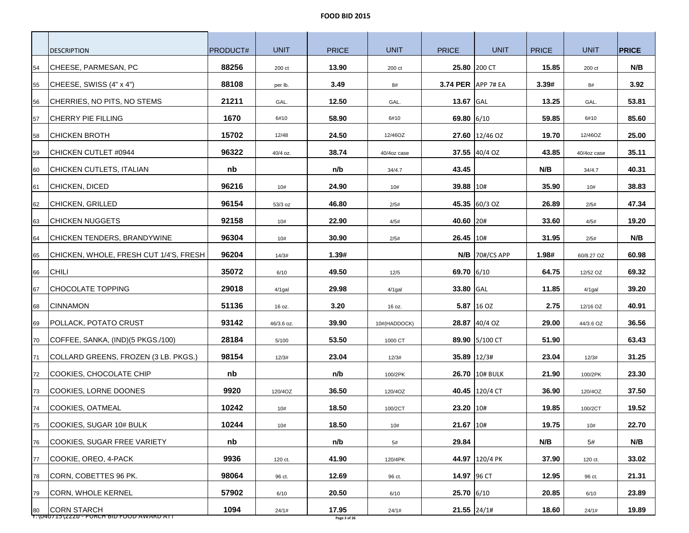|    | <b>DESCRIPTION</b>                     | PRODUCT# | <b>UNIT</b> | <b>PRICE</b> | <b>UNIT</b>  | <b>PRICE</b>       | <b>UNIT</b>      | <b>PRICE</b> | <b>UNIT</b> | <b>PRICE</b> |
|----|----------------------------------------|----------|-------------|--------------|--------------|--------------------|------------------|--------------|-------------|--------------|
| 54 | CHEESE, PARMESAN, PC                   | 88256    | 200 ct      | 13.90        | 200 ct       |                    | 25.80 200 CT     | 15.85        | 200 ct      | N/B          |
| 55 | CHEESE, SWISS (4" x 4")                | 88108    | per lb.     | 3.49         | 8#           | 3.74 PER APP 7# EA |                  | 3.39#        | 8#          | 3.92         |
| 56 | CHERRIES, NO PITS, NO STEMS            | 21211    | GAL.        | 12.50        | GAL.         | 13.67 GAL          |                  | 13.25        | GAL.        | 53.81        |
| 57 | <b>CHERRY PIE FILLING</b>              | 1670     | 6#10        | 58.90        | 6#10         | 69.80 6/10         |                  | 59.85        | 6#10        | 85.60        |
| 58 | <b>CHICKEN BROTH</b>                   | 15702    | 12/48       | 24.50        | 12/46OZ      |                    | 27.60 12/46 OZ   | 19.70        | 12/46OZ     | 25.00        |
| 59 | CHICKEN CUTLET #0944                   | 96322    | 40/4 oz.    | 38.74        | 40/4oz case  |                    | 37.55 $ 40/4$ OZ | 43.85        | 40/4oz case | 35.11        |
| 60 | CHICKEN CUTLETS, ITALIAN               | nb       |             | n/b          | 34/4.7       | 43.45              |                  | N/B          | 34/4.7      | 40.31        |
| 61 | <b>CHICKEN, DICED</b>                  | 96216    | 10#         | 24.90        | 10#          | 39.88 10#          |                  | 35.90        | 10#         | 38.83        |
| 62 | CHICKEN, GRILLED                       | 96154    | 53/3 oz     | 46.80        | 2/5#         |                    | 45.35 60/3 OZ    | 26.89        | 2/5#        | 47.34        |
| 63 | <b>CHICKEN NUGGETS</b>                 | 92158    | 10#         | 22.90        | 4/5#         | 40.60 20#          |                  | 33.60        | 4/5#        | 19.20        |
| 64 | CHICKEN TENDERS, BRANDYWINE            | 96304    | 10#         | 30.90        | 2/5#         | 26.45 10#          |                  | 31.95        | 2/5#        | N/B          |
| 65 | CHICKEN, WHOLE, FRESH CUT 1/4'S, FRESH | 96204    | 14/3#       | 1.39#        |              |                    | $N/B$ 70#/CS APP | 1.98#        | 60/8.27 OZ  | 60.98        |
| 66 | <b>CHILI</b>                           | 35072    | 6/10        | 49.50        | 12/5         | 69.70 6/10         |                  | 64.75        | 12/52 OZ    | 69.32        |
| 67 | <b>CHOCOLATE TOPPING</b>               | 29018    | 4/1gal      | 29.98        | $4/1$ gal    | 33.80 GAL          |                  | 11.85        | $4/1$ gal   | 39.20        |
| 68 | <b>CINNAMON</b>                        | 51136    | 16 oz.      | 3.20         | 16 oz.       |                    | 5.87 16 OZ       | 2.75         | 12/16 OZ    | 40.91        |
| 69 | POLLACK, POTATO CRUST                  | 93142    | 46/3.6 oz.  | 39.90        | 10#(HADDOCK) |                    | 28.87 40/4 OZ    | 29.00        | 44/3.6 OZ   | 36.56        |
| 70 | COFFEE, SANKA, (IND)(5 PKGS./100)      | 28184    | 5/100       | 53.50        | 1000 CT      |                    | 89.90 5/100 CT   | 51.90        |             | 63.43        |
| 71 | COLLARD GREENS, FROZEN (3 LB. PKGS.)   | 98154    | 12/3#       | 23.04        | 12/3#        | 35.89 12/3#        |                  | 23.04        | 12/3#       | 31.25        |
| 72 | COOKIES, CHOCOLATE CHIP                | nb       |             | n/b          | 100/2PK      |                    | 26.70 10# BULK   | 21.90        | 100/2PK     | 23.30        |
| 73 | COOKIES, LORNE DOONES                  | 9920     | 120/4OZ     | 36.50        | 120/4OZ      |                    | 40.45 120/4 CT   | 36.90        | 120/4OZ     | 37.50        |
| 74 | COOKIES, OATMEAL                       | 10242    | 10#         | 18.50        | 100/2CT      | 23.20 10#          |                  | 19.85        | 100/2CT     | 19.52        |
| 75 | COOKIES, SUGAR 10# BULK                | 10244    | 10#         | 18.50        | 10#          | 21.67 10#          |                  | 19.75        | 10#         | 22.70        |
| 76 | <b>COOKIES, SUGAR FREE VARIETY</b>     | nb       |             | n/b          | 5#           | 29.84              |                  | N/B          | 5#          | N/B          |
| 77 | COOKIE, OREO, 4-PACK                   | 9936     | 120 ct.     | 41.90        | 120/4PK      |                    | 44.97 120/4 PK   | 37.90        | 120 ct.     | 33.02        |
| 78 | CORN, COBETTES 96 PK.                  | 98064    | 96 ct.      | 12.69        | 96 ct.       | 14.97 96 CT        |                  | 12.95        | 96 ct.      | 21.31        |
| 79 | <b>CORN, WHOLE KERNEL</b>              | 57902    | 6/10        | 20.50        | 6/10         | 25.70 6/10         |                  | 20.85        | 6/10        | 23.89        |
| 80 | <b>CORN STARCH</b>                     | 1094     | 24/1#       | 17.95        | 24/1#        |                    | $21.55$ 24/1#    | 18.60        | 24/1#       | 19.89        |

Y:\040715\222b - PURCH BID FOOD AWARD ATT **Page 3 of 26**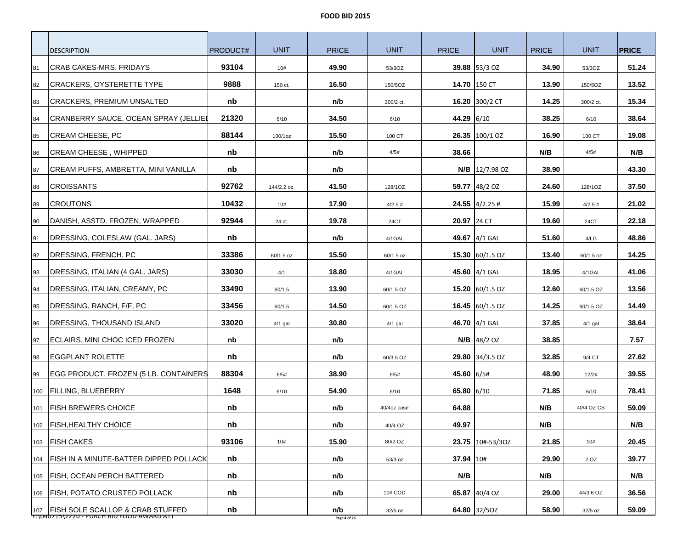|     | <b>DESCRIPTION</b>                                                                  | PRODUCT# | <b>UNIT</b> | <b>PRICE</b>        | <b>UNIT</b>    | <b>PRICE</b> | <b>UNIT</b>                               | <b>PRICE</b> | <b>UNIT</b>    | <b>PRICE</b> |
|-----|-------------------------------------------------------------------------------------|----------|-------------|---------------------|----------------|--------------|-------------------------------------------|--------------|----------------|--------------|
| 81  | CRAB CAKES-MRS. FRIDAYS                                                             | 93104    | 10#         | 49.90               | 53/3OZ         |              | 39.88 53/3 OZ                             | 34.90        | 53/3OZ         | 51.24        |
| 82  | CRACKERS, OYSTERETTE TYPE                                                           | 9888     | 150 ct.     | 16.50               | 150/5OZ        |              | 14.70 150 CT                              | 13.90        | 150/5OZ        | 13.52        |
| 83  | CRACKERS, PREMIUM UNSALTED                                                          | nb       |             | n/b                 | 300/2 ct.      |              | 16.20 300/2 CT                            | 14.25        | 300/2 ct.      | 15.34        |
|     | CRANBERRY SAUCE, OCEAN SPRAY (JELLIEI                                               | 21320    |             | 34.50               |                | 44.29 6/10   |                                           | 38.25        |                | 38.64        |
| 84  | CREAM CHEESE, PC                                                                    | 88144    | 6/10        | 15.50               | 6/10           |              | 26.35 100/1 OZ                            | 16.90        | 6/10           | 19.08        |
| 85  | <b>CREAM CHEESE, WHIPPED</b>                                                        |          | 100/1oz     |                     | 100 CT<br>4/5# | 38.66        |                                           | N/B          | 100 CT<br>4/5# |              |
| 86  |                                                                                     | nb       |             | n/b                 |                |              |                                           |              |                | N/B          |
| 87  | CREAM PUFFS, AMBRETTA, MINI VANILLA                                                 | nb       |             | n/b                 |                |              | $N/B$   12/7.98 OZ                        | 38.90        |                | 43.30        |
| 88  | <b>CROISSANTS</b>                                                                   | 92762    | 144/2.2 oz. | 41.50               | 128/1OZ        |              | 59.77 48/2 OZ                             | 24.60        | 128/1OZ        | 37.50        |
| 89  | <b>CROUTONS</b>                                                                     | 10432    | 10#         | 17.90               | 4/2.5#         |              | <b>24.55</b> $\vert 4/2.25 \vert 4 \vert$ | 15.99        | 4/2.5#         | 21.02        |
| 90  | DANISH, ASSTD. FROZEN, WRAPPED                                                      | 92944    | 24 ct.      | 19.78               | 24CT           | 20.97 24 CT  |                                           | 19.60        | 24CT           | 22.18        |
| 91  | DRESSING, COLESLAW (GAL. JARS)                                                      | nb       |             | n/b                 | 4/1GAL         |              | 49.67 4/1 GAL                             | 51.60        | 4/LG           | 48.86        |
| 92  | DRESSING, FRENCH, PC                                                                | 33386    | 60/1.5 oz   | 15.50               | 60/1.5 oz      |              | 15.30 $ 60/1.5$ OZ                        | 13.40        | 60/1.5 oz      | 14.25        |
| 93  | DRESSING, ITALIAN (4 GAL. JARS)                                                     | 33030    | 4/1         | 18.80               | 4/1GAL         |              | 45.60 4/1 GAL                             | 18.95        | 4/1GAL         | 41.06        |
| 94  | DRESSING, ITALIAN, CREAMY, PC                                                       | 33490    | 60/1.5      | 13.90               | 60/1.5 OZ      |              | 15.20 $ 60/1.5$ OZ                        | 12.60        | 60/1.5 OZ      | 13.56        |
| 95  | DRESSING, RANCH, F/F, PC                                                            | 33456    | 60/1.5      | 14.50               | 60/1.5 OZ      |              | 16.45 $ 60/1.5$ OZ                        | 14.25        | 60/1.5 OZ      | 14.49        |
| 96  | <b>DRESSING, THOUSAND ISLAND</b>                                                    | 33020    | $4/1$ gal   | 30.80               | $4/1$ gal      |              | 46.70 4/1 GAL                             | 37.85        | $4/1$ gal      | 38.64        |
| 97  | ECLAIRS, MINI CHOC ICED FROZEN                                                      | nb       |             | n/b                 |                |              | $N/B$  48/2 OZ                            | 38.85        |                | 7.57         |
| 98  | <b>EGGPLANT ROLETTE</b>                                                             | nb       |             | n/b                 | 60/3.5 OZ      |              | 29.80 34/3.5 OZ                           | 32.85        | 9/4 CT         | 27.62        |
| 99  | EGG PRODUCT, FROZEN (5 LB. CONTAINERS                                               | 88304    | 6/5#        | 38.90               | 6/5#           | 45.60 6/5#   |                                           | 48.90        | 12/2#          | 39.55        |
| 100 | <b>FILLING, BLUEBERRY</b>                                                           | 1648     | 6/10        | 54.90               | 6/10           | 65.80 6/10   |                                           | 71.85        | 6/10           | 78.41        |
| 101 | <b>FISH BREWERS CHOICE</b>                                                          | nb       |             | n/b                 | 40/4oz case    | 64.88        |                                           | N/B          | 40/4 OZ CS     | 59.09        |
|     | 102 FISH, HEALTHY CHOICE                                                            | nb       |             | n/b                 | 40/4 OZ        | 49.97        |                                           | N/B          |                | N/B          |
|     | 103   FISH CAKES                                                                    | 93106    | 10#         | 15.90               | 80/2 OZ        |              | 23.75 10#-53/30Z                          | 21.85        | 10#            | 20.45        |
| 104 | <b>IFISH IN A MINUTE-BATTER DIPPED POLLACK</b>                                      | nb       |             | n/b                 | 53/3 oz        | 37.94 10#    |                                           | 29.90        | 2 OZ           | 39.77        |
| 105 | <b>FISH, OCEAN PERCH BATTERED</b>                                                   | nb       |             | n/b                 |                | N/B          |                                           | N/B          |                | N/B          |
| 106 | <b>FISH, POTATO CRUSTED POLLACK</b>                                                 | nb       |             | n/b                 | 10# COD        |              | 65.87 40/4 OZ                             | 29.00        | 44/3.6 OZ      | 36.56        |
|     | 107   FISH SOLE SCALLOP & CRAB STUFFED<br>T:\U4U715\ZZZD - PURCH BID FOOD AWARD ATT | nb       |             | n/b<br>Page 4 of 26 | 32/5 oz        |              | 64.80 32/50Z                              | 58.90        | $32/5$ oz      | 59.09        |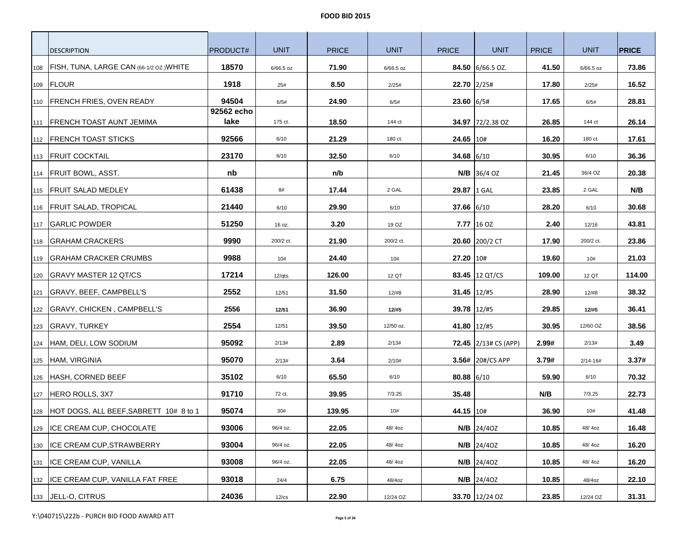| <b>DESCRIPTION</b>                             | PRODUCT#           | <b>UNIT</b> | <b>PRICE</b> | <b>UNIT</b> | <b>PRICE</b>  | <b>UNIT</b>                    | <b>PRICE</b> | <b>UNIT</b>  | <b>PRICE</b> |
|------------------------------------------------|--------------------|-------------|--------------|-------------|---------------|--------------------------------|--------------|--------------|--------------|
| 108   FISH, TUNA, LARGE CAN (66-1/2 OZ.) WHITE | 18570              | 6/66.5 oz   | 71.90        | $6/66.5$ oz |               | 84.50 6/66.5 OZ.               | 41.50        | 6/66.5 oz    | 73.86        |
| 109 FLOUR                                      | 1918               | 25#         | 8.50         | 2/25#       |               | 22.70 2/25#                    | 17.80        | 2/25#        | 16.52        |
| 110   FRENCH FRIES, OVEN READY                 | 94504              | 6/5#        | 24.90        | 6/5#        | $23.60$ 6/5#  |                                | 17.65        | 6/5#         | 28.81        |
| 111   FRENCH TOAST AUNT JEMIMA                 | 92562 echo<br>lake | 175 ct.     | 18.50        | 144 ct      |               | <b>34.97</b> 72/2.38 OZ        | 26.85        | 144 ct       | 26.14        |
| 112 FRENCH TOAST STICKS                        | 92566              | 6/10        | 21.29        | 180 ct.     | 24.65 10#     |                                | 16.20        | 180 ct.      | 17.61        |
| 113 <b>FRUIT COCKTAIL</b>                      | 23170              | 6/10        | 32.50        | 6/10        | 34.68 6/10    |                                | 30.95        | 6/10         | 36.36        |
| 114   FRUIT BOWL, ASST.                        | nb                 |             | n/b          |             |               | $N/B$ 36/4 OZ                  | 21.45        | 36/4 OZ      | 20.38        |
| 115   FRUIT SALAD MEDLEY                       | 61438              | 8#          | 17.44        | 2 GAL       | 29.87 1 GAL   |                                | 23.85        | 2 GAL        | N/B          |
| 116   FRUIT SALAD, TROPICAL                    | 21440              | 6/10        | 29.90        | 6/10        | 37.66 6/10    |                                | 28.20        | 6/10         | 30.68        |
| 117 GARLIC POWDER                              | 51250              | 16 oz.      | 3.20         | 19 OZ       |               | 7.77 16 OZ                     | 2.40         | 12/16        | 43.81        |
| 118 GRAHAM CRACKERS                            | 9990               | 200/2 ct.   | 21.90        | 200/2 ct.   |               | 20.60 200/2 CT                 | 17.90        | 200/2 ct.    | 23.86        |
| 119 GRAHAM CRACKER CRUMBS                      | 9988               | 10#         | 24.40        | 10#         | 27.20 10#     |                                | 19.60        | 10#          | 21.03        |
| 120 GRAVY MASTER 12 QT/CS                      | 17214              | $12/q$ ts.  | 126.00       | 12 QT       |               | 83.45 12 QT/CS                 | 109.00       | 12 QT        | 114.00       |
| 121   GRAVY, BEEF, CAMPBELL'S                  | 2552               | 12/51       | 31.50        | 12/#8       | 31.45 12/#5   |                                | 28.90        | 12/#8        | 38.32        |
| 122   GRAVY, CHICKEN, CAMPBELL'S               | 2556               | 12/51       | 36.90        | 12/#5       | 39.78   12/#5 |                                | 29.85        | 12/#5        | 36.41        |
|                                                | 2554               | 12/51       | 39.50        | 12/50 oz.   | 41.80 12/#5   |                                | 30.95        | 12/60 OZ     | 38.56        |
| 124 HAM, DELI, LOW SODIUM                      | 95092              | 2/13#       | 2.89         | 2/13#       |               | <b>72.45</b> $ 2/13#$ CS (APP) | 2.99#        | 2/13#        | 3.49         |
| 125 HAM, VIRGINIA                              | 95070              | 2/13#       | 3.64         | 2/10#       |               | 3.56# 20#/CS APP               | 3.79#        | $2/14 - 16#$ | 3.37#        |
| 126 HASH, CORNED BEEF                          | 35102              | 6/10        | 65.50        | 6/10        | $80.88$ 6/10  |                                | 59.90        | 6/10         | 70.32        |
| 127   HERO ROLLS, 3X7                          | 91710              | 72 ct.      | 39.95        | 7/3.25      | 35.48         |                                | N/B          | 7/3.25       | 22.73        |
| 128 HOT DOGS, ALL BEEF, SABRETT 10# 8 to 1     | 95074              | 30#         | 139.95       | 10#         | 44.15 10#     |                                | 36.90        | 10#          | 41.48        |
| 129 <b>ICE CREAM CUP, CHOCOLATE</b>            | 93006              | 96/4 oz.    | 22.05        | 48/40Z      |               | $N/B$ 24/40Z                   | 10.85        | 48/40Z       | 16.48        |
| 130 <b>ICE CREAM CUP, STRAWBERRY</b>           | 93004              | 96/4 oz.    | 22.05        | 48/40Z      |               | $N/B$ 24/40Z                   | 10.85        | 48/40Z       | 16.20        |
| 131 <b>ICE CREAM CUP, VANILLA</b>              | 93008              | 96/4 oz.    | 22.05        | 48/40Z      |               | $N/B$ 24/402                   | 10.85        | 48/4oz       | 16.20        |
| 132 <b>ICE CREAM CUP, VANILLA FAT FREE</b>     | 93018              | 24/4        | 6.75         | 48/4oz      |               | <b>N/B</b> 24/40Z              | 10.85        | 48/4oz       | 22.10        |
| 133 JELL-O, CITRUS                             | 24036              | $12$ / $cs$ | 22.90        | 12/24 OZ    |               | 33.70 12/24 OZ                 | 23.85        | 12/24 OZ     | 31.31        |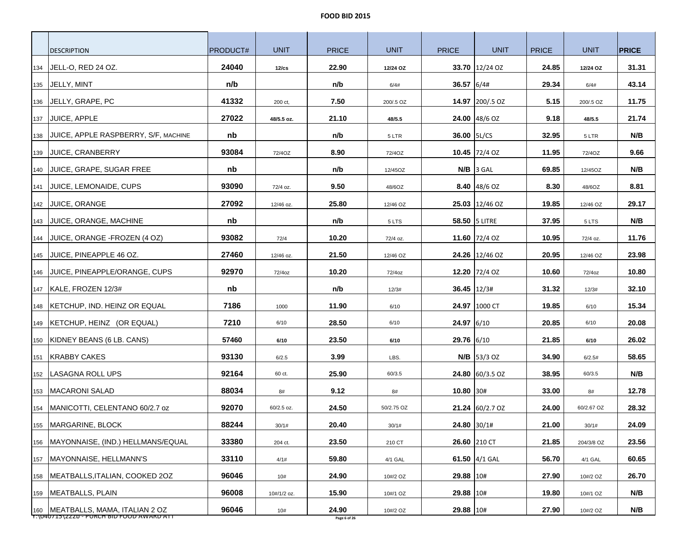|     | <b>DESCRIPTION</b>                                                             | <b>PRODUCT#</b> | <b>UNIT</b> | <b>PRICE</b>          | <b>UNIT</b> | <b>PRICE</b>    | <b>UNIT</b>               | <b>PRICE</b> | <b>UNIT</b> | <b>PRICE</b> |
|-----|--------------------------------------------------------------------------------|-----------------|-------------|-----------------------|-------------|-----------------|---------------------------|--------------|-------------|--------------|
| 134 | JELL-O, RED 24 OZ.                                                             | 24040           | 12/cs       | 22.90                 | 12/24 OZ    |                 | 33.70 12/24 OZ            | 24.85        | 12/24 OZ    | 31.31        |
| 135 | JELLY, MINT                                                                    | n/b             |             | n/b                   | 6/4#        | 36.57 6/4#      |                           | 29.34        | 6/4#        | 43.14        |
| 136 | JELLY, GRAPE, PC                                                               | 41332           | 200 ct,     | 7.50                  | 200/.5 OZ   |                 | 14.97 200/.5 OZ           | 5.15         | 200/.5 OZ   | 11.75        |
| 137 | <b>JUICE, APPLE</b>                                                            | 27022           | 48/5.5 oz.  | 21.10                 | 48/5.5      |                 | <b>24.00</b> $ 48/6$ OZ   | 9.18         | 48/5.5      | 21.74        |
| 138 | JUICE, APPLE RASPBERRY, S/F, MACHINE                                           | nb              |             | n/b                   | 5 LTR       | 36.00   5L/CS   |                           | 32.95        | 5 LTR       | N/B          |
|     | 139 JUICE, CRANBERRY                                                           | 93084           | 72/40Z      | 8.90                  | 72/40Z      |                 | 10.45 $ 72/4$ OZ          | 11.95        | 72/40Z      | 9.66         |
| 140 | JUICE, GRAPE, SUGAR FREE                                                       | nb              |             | n/b                   | 12/45OZ     |                 | $N/B$ 3 GAL               | 69.85        | 12/45OZ     | N/B          |
| 141 | JUICE, LEMONAIDE, CUPS                                                         | 93090           | 72/4 oz.    | 9.50                  | 48/6OZ      |                 | <b>8.40</b> $ 48/6$ OZ    | 8.30         | 48/6OZ      | 8.81         |
| 142 | <b>JUICE, ORANGE</b>                                                           | 27092           | 12/46 oz.   | 25.80                 | 12/46 OZ    |                 | 25.03 12/46 OZ            | 19.85        | 12/46 OZ    | 29.17        |
| 143 | JUICE, ORANGE, MACHINE                                                         | nb              |             | n/b                   | 5 LTS       |                 | 58.50   5 LITRE           | 37.95        | 5 LTS       | N/B          |
| 144 | JUICE, ORANGE -FROZEN (4 OZ)                                                   | 93082           | 72/4        | 10.20                 | 72/4 oz.    |                 | 11.60 72/4 OZ             | 10.95        | 72/4 oz.    | 11.76        |
| 145 | JUICE, PINEAPPLE 46 OZ.                                                        | 27460           | 12/46 oz.   | 21.50                 | 12/46 OZ    |                 | 24.26 12/46 OZ            | 20.95        | 12/46 OZ    | 23.98        |
| 146 | JUICE, PINEAPPLE/ORANGE, CUPS                                                  | 92970           | 72/4oz      | 10.20                 | 72/4oz      |                 | 12.20 72/4 OZ             | 10.60        | 72/4oz      | 10.80        |
|     | 147   KALE, FROZEN 12/3#                                                       | nb              |             | n/b                   | 12/3#       | $36.45$   12/3# |                           | 31.32        | 12/3#       | 32.10        |
|     | 148   KETCHUP, IND. HEINZ OR EQUAL                                             | 7186            | 1000        | 11.90                 | 6/10        |                 | 24.97 1000 CT             | 19.85        | 6/10        | 15.34        |
| 149 | KETCHUP, HEINZ (OR EQUAL)                                                      | 7210            | 6/10        | 28.50                 | 6/10        | 24.97 6/10      |                           | 20.85        | 6/10        | 20.08        |
|     | 150 KIDNEY BEANS (6 LB. CANS)                                                  | 57460           | 6/10        | 23.50                 | 6/10        | 29.76 6/10      |                           | 21.85        | 6/10        | 26.02        |
| 151 | <b>KRABBY CAKES</b>                                                            | 93130           | 6/2.5       | 3.99                  | LBS.        |                 | $N/B$  53/3 OZ            | 34.90        | 6/2.5#      | 58.65        |
| 152 | LASAGNA ROLL UPS                                                               | 92164           | 60 ct.      | 25.90                 | 60/3.5      |                 | <b>24.80</b> $ 60/3.5$ OZ | 38.95        | 60/3.5      | N/B          |
| 153 | <b>MACARONI SALAD</b>                                                          | 88034           | 8#          | 9.12                  | 8#          | $10.80$ 30#     |                           | 33.00        | 8#          | 12.78        |
| 154 | MANICOTTI, CELENTANO 60/2.7 oz                                                 | 92070           | 60/2.5 oz.  | 24.50                 | 50/2.75 OZ  |                 | 21.24 60/2.7 OZ           | 24.00        | 60/2.67 OZ  | 28.32        |
| 155 | MARGARINE, BLOCK                                                               | 88244           | 30/1#       | 20.40                 | 30/1#       | 24.80 30/1#     |                           | 21.00        | 30/1#       | 24.09        |
|     | 156   MAYONNAISE, (IND.) HELLMANS/EQUAL                                        | 33380           | 204 ct.     | 23.50                 | 210 CT      |                 | 26.60 210 CT              | 21.85        | 204/3/8 OZ  | 23.56        |
| 157 | MAYONNAISE, HELLMANN'S                                                         | 33110           | 4/1#        | 59.80                 | 4/1 GAL     |                 | 61.50 4/1 GAL             | 56.70        | 4/1 GAL     | 60.65        |
| 158 | MEATBALLS, ITALIAN, COOKED 20Z                                                 | 96046           | 10#         | 24.90                 | 10#/2 OZ    | 29.88 10#       |                           | 27.90        | 10#/2 OZ    | 26.70        |
| 159 | MEATBALLS, PLAIN                                                               | 96008           | 10#/1/2 oz. | 15.90                 | 10#/1 OZ    | 29.88 10#       |                           | 19.80        | 10#/1 OZ    | N/B          |
|     | 160 MEATBALLS, MAMA, ITALIAN 2 OZ<br>T:\U4U715\ZZZD - PURCH BID FOOD AWARD ATT | 96046           | 10#         | 24.90<br>Page 6 of 26 | 10#/2 OZ    | 29.88 10#       |                           | 27.90        | 10#/2 OZ    | N/B          |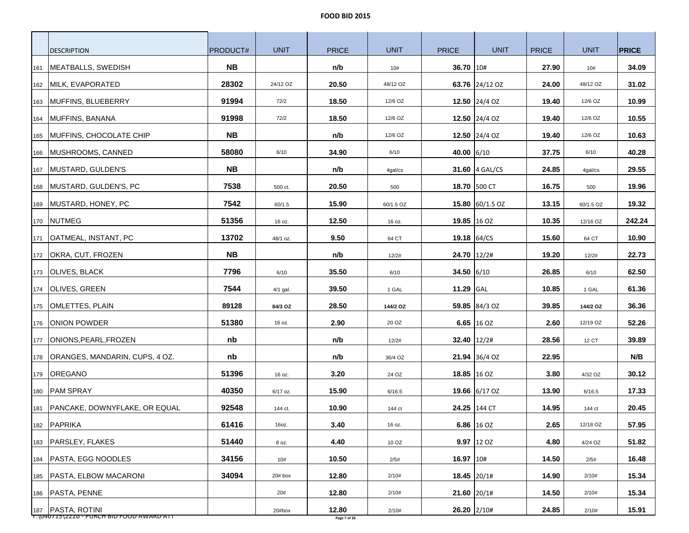|     | <b>DESCRIPTION</b>                  | PRODUCT#  | <b>UNIT</b> | <b>PRICE</b> | <b>UNIT</b> | <b>PRICE</b> | <b>UNIT</b>     | <b>PRICE</b> | <b>UNIT</b> | <b>PRICE</b> |
|-----|-------------------------------------|-----------|-------------|--------------|-------------|--------------|-----------------|--------------|-------------|--------------|
| 161 | MEATBALLS, SWEDISH                  | NB.       |             | n/b          | 10#         | 36.70 10#    |                 | 27.90        | 10#         | 34.09        |
|     | 162 MILK, EVAPORATED                | 28302     | 24/12 OZ    | 20.50        | 48/12 OZ    |              | 63.76 24/12 OZ  | 24.00        | 48/12 OZ    | 31.02        |
| 163 | MUFFINS, BLUEBERRY                  | 91994     | 72/2        | 18.50        | 12/6 OZ     |              | 12.50 24/4 OZ   | 19.40        | 12/6 OZ     | 10.99        |
| 164 | MUFFINS, BANANA                     | 91998     | 72/2        | 18.50        | 12/6 OZ     |              | 12.50 24/4 OZ   | 19.40        | 12/6 OZ     | 10.55        |
|     | 165 MUFFINS, CHOCOLATE CHIP         | <b>NB</b> |             | n/b          | 12/6 OZ     |              | 12.50 24/4 OZ   | 19.40        | 12/6 OZ     | 10.63        |
|     | 166 MUSHROOMS, CANNED               | 58080     | 6/10        | 34.90        | 6/10        | 40.00 6/10   |                 | 37.75        | 6/10        | 40.28        |
|     | 167 MUSTARD, GULDEN'S               | <b>NB</b> |             | n/b          | 4gal/cs     |              | 31.60 4 GAL/CS  | 24.85        | 4gal/cs     | 29.55        |
|     | 168 MUSTARD, GULDEN'S, PC           | 7538      | 500 ct.     | 20.50        | 500         |              | 18.70 500 CT    | 16.75        | 500         | 19.96        |
|     | 169 MUSTARD, HONEY, PC              | 7542      | 60/1.5      | 15.90        | 60/1.5 OZ   |              | 15.80 60/1.5 OZ | 13.15        | 60/1.5 OZ   | 19.32        |
|     | 170 NUTMEG                          | 51356     | 16 oz.      | 12.50        | 16 oz.      |              | 19.85 16 OZ     | 10.35        | 12/16 OZ    | 242.24       |
| 171 | OATMEAL, INSTANT, PC                | 13702     | 48/1 oz.    | 9.50         | 64 CT       |              | 19.18 $64/CS$   | 15.60        | 64 CT       | 10.90        |
|     | 172 <b>OKRA, CUT, FROZEN</b>        | <b>NB</b> |             | n/b          | 12/2#       |              | 24.70 12/2#     | 19.20        | 12/2#       | 22.73        |
|     | 173 OLIVES, BLACK                   | 7796      | 6/10        | 35.50        | 6/10        | 34.50 6/10   |                 | 26.85        | 6/10        | 62.50        |
|     | 174 OLIVES, GREEN                   | 7544      | 4/1 gal.    | 39.50        | 1 GAL       | 11.29 GAL    |                 | 10.85        | 1 GAL       | 61.36        |
|     | 175   OMLETTES, PLAIN               | 89128     | 84/3 OZ     | 28.50        | 144/2 OZ    |              | 59.85 84/3 OZ   | 39.85        | 144/2 OZ    | 36.36        |
| 176 | ONION POWDER                        | 51380     | 16 oz.      | 2.90         | 20 OZ       |              | 6.65 16 OZ      | 2.60         | 12/19 OZ    | 52.26        |
|     | 177   ONIONS, PEARL, FROZEN         | nb        |             | n/b          | 12/2#       |              | $32.40$   12/2# | 28.56        | 12 CT       | 39.89        |
| 178 | ORANGES, MANDARIN, CUPS, 4 OZ.      | nb        |             | n/b          | 36/4 OZ     |              | 21.94 36/4 OZ   | 22.95        |             | N/B          |
|     | 179 OREGANO                         | 51396     | 16 oz.      | 3.20         | 24 OZ       |              | 18.85 16 OZ     | 3.80         | 4/32 OZ     | 30.12        |
| 180 | <b>PAM SPRAY</b>                    | 40350     | 6/17 oz.    | 15.90        | 6/16.5      |              | 19.66 6/17 OZ   | 13.90        | 6/16.5      | 17.33        |
|     | 181   PANCAKE, DOWNYFLAKE, OR EQUAL | 92548     | 144 ct.     | 10.90        | 144 ct      |              | 24.25 144 CT    | 14.95        | 144 ct      | 20.45        |
|     | 182 PAPRIKA                         | 61416     | 16oz.       | 3.40         | 16 oz.      |              | 6.86 16 OZ      | 2.65         | 12/18 OZ    | 57.95        |
|     | 183 PARSLEY, FLAKES                 | 51440     | 8 oz.       | 4.40         | 10 OZ       |              | $9.97$ 12 OZ    | 4.80         | 4/24 OZ     | 51.82        |
|     | 184   PASTA, EGG NOODLES            | 34156     | 10#         | 10.50        | 2/5#        | 16.97 10#    |                 | 14.50        | 2/5#        | 16.48        |
|     | 185   PASTA, ELBOW MACARONI         | 34094     | 20# box     | 12.80        | 2/10#       |              | 18.45 20/1#     | 14.90        | 2/10#       | 15.34        |
|     | 186   PASTA, PENNE                  |           | 20#         | 12.80        | 2/10#       | 21.60 20/1#  |                 | 14.50        | 2/10#       | 15.34        |
|     | 187 PASTA, ROTINI                   |           | 20#box      | 12.80        | 2/10#       |              | $26.20$ 2/10#   | 24.85        | 2/10#       | 15.91        |

Y:\040715\222b - PURCH BID FOOD AWARD ATT **Page 7 of 26**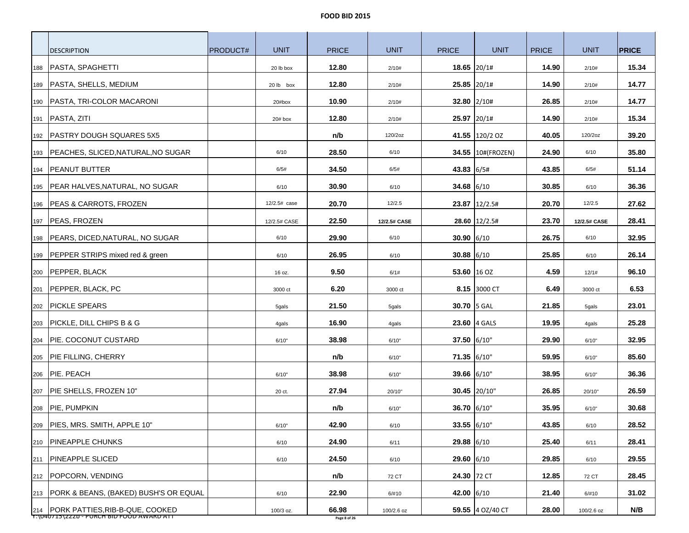|     | <b>DESCRIPTION</b>                                                                 | PRODUCT# | <b>UNIT</b>  | <b>PRICE</b>          | <b>UNIT</b>  | <b>PRICE</b> | <b>UNIT</b>       | <b>PRICE</b> | <b>UNIT</b>  | <b>PRICE</b> |
|-----|------------------------------------------------------------------------------------|----------|--------------|-----------------------|--------------|--------------|-------------------|--------------|--------------|--------------|
|     | 188   PASTA, SPAGHETTI                                                             |          | 20 lb box    | 12.80                 | 2/10#        | 18.65 20/1#  |                   | 14.90        | 2/10#        | 15.34        |
|     | 189   PASTA, SHELLS, MEDIUM                                                        |          | 20 lb box    | 12.80                 | 2/10#        | 25.85 20/1#  |                   | 14.90        | 2/10#        | 14.77        |
|     | 190   PASTA, TRI-COLOR MACARONI                                                    |          | 20#box       | 10.90                 | 2/10#        | 32.80 2/10#  |                   | 26.85        | 2/10#        | 14.77        |
|     | 191   PASTA, ZITI                                                                  |          | $20#$ box    | 12.80                 | 2/10#        |              | 25.97 20/1#       | 14.90        | 2/10#        | 15.34        |
|     | 192   PASTRY DOUGH SQUARES 5X5                                                     |          |              | n/b                   | 120/2oz      |              | 41.55 120/2 OZ    | 40.05        | 120/2oz      | 39.20        |
|     | 193   PEACHES, SLICED, NATURAL, NO SUGAR                                           |          | 6/10         | 28.50                 | 6/10         |              | 34.55 10#(FROZEN) | 24.90        | 6/10         | 35.80        |
|     | 194 PEANUT BUTTER                                                                  |          | 6/5#         | 34.50                 | 6/5#         | 43.83 6/5#   |                   | 43.85        | 6/5#         | 51.14        |
|     | 195   PEAR HALVES, NATURAL, NO SUGAR                                               |          | 6/10         | 30.90                 | 6/10         | 34.68 $6/10$ |                   | 30.85        | 6/10         | 36.36        |
|     | 196 PEAS & CARROTS, FROZEN                                                         |          | 12/2.5# case | 20.70                 | 12/2.5       |              | 23.87 12/2.5#     | 20.70        | 12/2.5       | 27.62        |
|     | 197   PEAS, FROZEN                                                                 |          | 12/2.5# CASE | 22.50                 | 12/2.5# CASE |              | 28.60   12/2.5#   | 23.70        | 12/2.5# CASE | 28.41        |
|     | 198   PEARS, DICED, NATURAL, NO SUGAR                                              |          | 6/10         | 29.90                 | 6/10         | $30.90$ 6/10 |                   | 26.75        | 6/10         | 32.95        |
|     | 199 PEPPER STRIPS mixed red & green                                                |          | 6/10         | 26.95                 | 6/10         | $30.88$ 6/10 |                   | 25.85        | 6/10         | 26.14        |
|     | 200 PEPPER, BLACK                                                                  |          | 16 oz.       | 9.50                  | 6/1#         | 53.60 16 OZ  |                   | 4.59         | 12/1#        | 96.10        |
|     | 201   PEPPER, BLACK, PC                                                            |          | 3000 ct      | 6.20                  | 3000 ct      |              | 8.15 3000 CT      | 6.49         | 3000 ct      | 6.53         |
|     | 202   PICKLE SPEARS                                                                |          | 5gals        | 21.50                 | 5gals        | 30.70 5 GAL  |                   | 21.85        | 5gals        | 23.01        |
|     | 203 PICKLE, DILL CHIPS B & G                                                       |          | 4gals        | 16.90                 | 4gals        |              | 23.60 4 GALS      | 19.95        | 4gals        | 25.28        |
|     | 204   PIE. COCONUT CUSTARD                                                         |          | 6/10"        | 38.98                 | 6/10"        | 37.50 6/10"  |                   | 29.90        | 6/10"        | 32.95        |
|     | 205   PIE FILLING, CHERRY                                                          |          |              | n/b                   | 6/10"        | 71.35 6/10"  |                   | 59.95        | 6/10"        | 85.60        |
|     | 206 PIE. PEACH                                                                     |          | 6/10"        | 38.98                 | 6/10"        | 39.66 6/10"  |                   | 38.95        | 6/10"        | 36.36        |
|     | 207 PIE SHELLS, FROZEN 10"                                                         |          | 20 ct.       | 27.94                 | 20/10"       |              | 30.45 20/10"      | 26.85        | 20/10"       | 26.59        |
|     | 208 PIE, PUMPKIN                                                                   |          |              | n/b                   | 6/10"        | 36.70 6/10"  |                   | 35.95        | 6/10"        | 30.68        |
| 209 | PIES, MRS. SMITH, APPLE 10"                                                        |          | 6/10"        | 42.90                 | 6/10         | 33.55 6/10"  |                   | 43.85        | 6/10         | 28.52        |
|     | 210   PINEAPPLE CHUNKS                                                             |          | 6/10         | 24.90                 | 6/11         | 29.88 6/10   |                   | 25.40        | 6/11         | 28.41        |
|     | 211   PINEAPPLE SLICED                                                             |          | 6/10         | 24.50                 | 6/10         | 29.60 6/10   |                   | 29.85        | 6/10         | 29.55        |
|     | 212   POPCORN, VENDING                                                             |          |              | n/b                   | 72 CT        | 24.30 72 CT  |                   | 12.85        | 72 CT        | 28.45        |
|     | 213   PORK & BEANS, (BAKED) BUSH'S OR EQUAL                                        |          | 6/10         | 22.90                 | 6/#10        | 42.00 6/10   |                   | 21.40        | 6/#10        | 31.02        |
|     | 214   PORK PATTIES, RIB-B-QUE, COOKED<br>T:\040715\ZZZD - PURCH BID FOOD AWARD ATT |          | 100/3 oz.    | 66.98<br>Page 8 of 26 | 100/2.6 oz   |              | 59.55 4 OZ/40 CT  | 28.00        | 100/2.6 oz   | N/B          |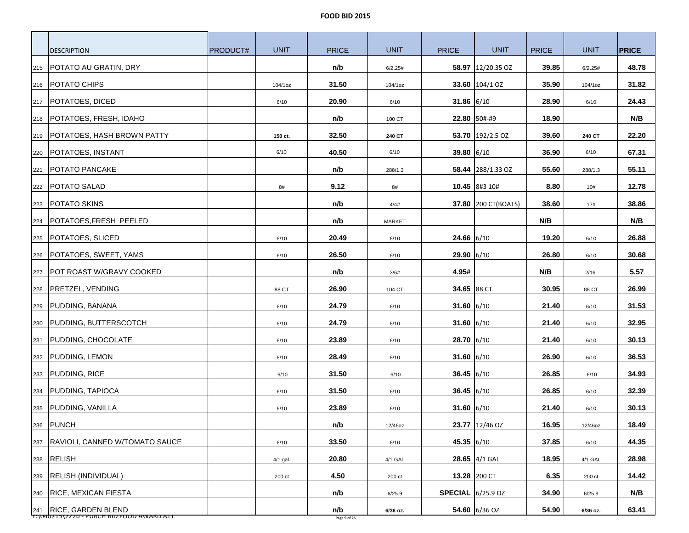|     | <b>DESCRIPTION</b>                                                | PRODUCT# | <b>UNIT</b> | <b>PRICE</b>        | <b>UNIT</b>   | <b>PRICE</b>             | <b>UNIT</b>                | <b>PRICE</b> | <b>UNIT</b> | <b>PRICE</b> |
|-----|-------------------------------------------------------------------|----------|-------------|---------------------|---------------|--------------------------|----------------------------|--------------|-------------|--------------|
| 215 | POTATO AU GRATIN, DRY                                             |          |             | n/b                 | 6/2.25#       |                          | 58.97 12/20.35 OZ          | 39.85        | 6/2.25#     | 48.78        |
|     | 216   POTATO CHIPS                                                |          | 104/1oz     | 31.50               | 104/1oz       |                          | 33.60 104/1 OZ             | 35.90        | 104/1oz     | 31.82        |
| 217 | POTATOES, DICED                                                   |          | 6/10        | 20.90               | 6/10          | 31.86 $6/10$             |                            | 28.90        | 6/10        | 24.43        |
| 218 | POTATOES, FRESH, IDAHO                                            |          |             | n/b                 | 100 CT        |                          | 22.80 50#-#9               | 18.90        |             | N/B          |
| 219 | <b>POTATOES, HASH BROWN PATTY</b>                                 |          | 150 ct.     | 32.50               | 240 CT        |                          | 53.70 192/2.5 OZ           | 39.60        | 240 CT      | 22.20        |
|     | 220 POTATOES, INSTANT                                             |          | 6/10        | 40.50               | 6/10          | 39.80 6/10               |                            | 36.90        | 6/10        | 67.31        |
| 221 | <b>POTATO PANCAKE</b>                                             |          |             | n/b                 | 288/1.3       |                          | 58.44 288/1.33 OZ          | 55.60        | 288/1.3     | 55.11        |
| 222 | <b>POTATO SALAD</b>                                               |          | 8#          | 9.12                | 8#            |                          | 10.45 8#3 10#              | 8.80         | 10#         | 12.78        |
| 223 | <b>POTATO SKINS</b>                                               |          |             | n/b                 | 4/4#          |                          | <b>37.80 200 CT(BOATS)</b> | 38.60        | 17#         | 38.86        |
| 224 | POTATOES, FRESH PEELED                                            |          |             | n/b                 | <b>MARKET</b> |                          |                            | N/B          |             | N/B          |
| 225 | POTATOES, SLICED                                                  |          | 6/10        | 20.49               | 6/10          | $24.66$ 6/10             |                            | 19.20        | 6/10        | 26.88        |
| 226 | POTATOES, SWEET, YAMS                                             |          | 6/10        | 26.50               | 6/10          | 29.90 6/10               |                            | 26.80        | 6/10        | 30.68        |
| 227 | POT ROAST W/GRAVY COOKED                                          |          |             | n/b                 | 3/6#          | 4.95#                    |                            | N/B          | 2/16        | 5.57         |
| 228 | <b>PRETZEL, VENDING</b>                                           |          | 88 CT       | 26.90               | 104 CT        | 34.65 88 CT              |                            | 30.95        | 88 CT       | 26.99        |
| 229 | <b>PUDDING, BANANA</b>                                            |          | 6/10        | 24.79               | 6/10          | 31.60 6/10               |                            | 21.40        | 6/10        | 31.53        |
| 230 | PUDDING, BUTTERSCOTCH                                             |          | 6/10        | 24.79               | 6/10          | $31.60$ 6/10             |                            | 21.40        | 6/10        | 32.95        |
| 231 | PUDDING, CHOCOLATE                                                |          | 6/10        | 23.89               | 6/10          | 28.70 6/10               |                            | 21.40        | 6/10        | 30.13        |
| 232 | PUDDING, LEMON                                                    |          | 6/10        | 28.49               | 6/10          | 31.60 $6/10$             |                            | 26.90        | 6/10        | 36.53        |
| 233 | <b>PUDDING, RICE</b>                                              |          | 6/10        | 31.50               | 6/10          | $36.45$ 6/10             |                            | 26.85        | 6/10        | 34.93        |
| 234 | PUDDING, TAPIOCA                                                  |          | 6/10        | 31.50               | 6/10          | 36.45 $6/10$             |                            | 26.85        | 6/10        | 32.39        |
| 235 | PUDDING, VANILLA                                                  |          | 6/10        | 23.89               | 6/10          | 31.60 $6/10$             |                            | 21.40        | 6/10        | 30.13        |
|     | 236 PUNCH                                                         |          |             | n/b                 | 12/46oz       |                          | 23.77 12/46 OZ             | 16.95        | 12/46oz     | 18.49        |
|     | 237 RAVIOLI, CANNED W/TOMATO SAUCE                                |          | 6/10        | 33.50               | 6/10          | 45.35 6/10               |                            | 37.85        | 6/10        | 44.35        |
|     | 238 RELISH                                                        |          | 4/1 gal.    | 20.80               | 4/1 GAL       |                          | 28.65 4/1 GAL              | 18.95        | 4/1 GAL     | 28.98        |
| 239 | <b>RELISH (INDIVIDUAL)</b>                                        |          | 200 ct      | 4.50                | 200 ct        |                          | 13.28 200 CT               | 6.35         | 200 ct      | 14.42        |
| 240 | <b>RICE, MEXICAN FIESTA</b>                                       |          |             | n/b                 | 6/25.9        | <b>SPECIAL</b> 6/25.9 OZ |                            | 34.90        | 6/25.9      | N/B          |
|     | 241 RICE, GARDEN BLEND<br>T:\U4U715\ZZZD-PURCH BID FOOD AWARD ATT |          |             | n/b<br>Page 9 of 26 | 6/36 oz.      |                          | 54.60 6/36 OZ              | 54.90        | 6/36 oz.    | 63.41        |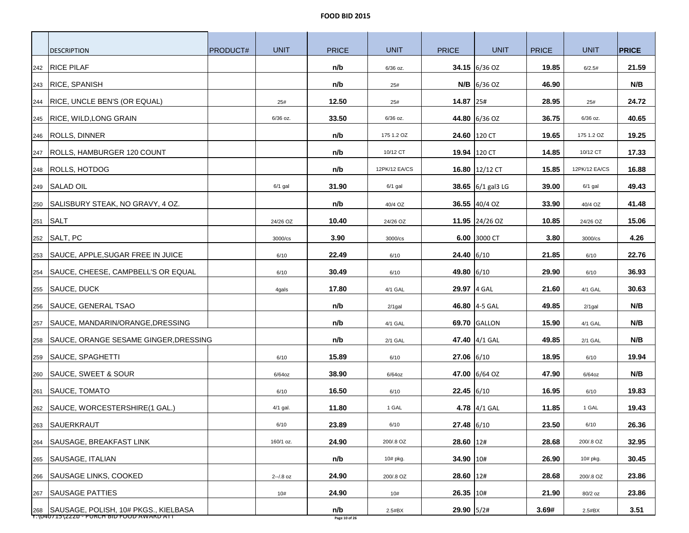| <b>DESCRIPTION</b>                                                                    | <b>PRODUCT#</b> | <b>UNIT</b>  | <b>PRICE</b>         | <b>UNIT</b>   | <b>PRICE</b> | <b>UNIT</b>         | <b>PRICE</b> | <b>UNIT</b>   | <b>PRICE</b> |
|---------------------------------------------------------------------------------------|-----------------|--------------|----------------------|---------------|--------------|---------------------|--------------|---------------|--------------|
| <b>RICE PILAF</b><br>242                                                              |                 |              | n/b                  | 6/36 oz.      |              | 34.15 6/36 OZ       | 19.85        | 6/2.5#        | 21.59        |
| 243 RICE, SPANISH                                                                     |                 |              | n/b                  | 25#           |              | $N/B$ 6/36 OZ       | 46.90        |               | N/B          |
| <b>RICE, UNCLE BEN'S (OR EQUAL)</b><br>244                                            |                 | 25#          | 12.50                | 25#           | 14.87 25#    |                     | 28.95        | 25#           | 24.72        |
| <b>RICE, WILD, LONG GRAIN</b><br>245                                                  |                 | 6/36 oz.     | 33.50                | 6/36 oz.      |              | 44.80 6/36 OZ       | 36.75        | 6/36 oz.      | 40.65        |
| <b>ROLLS, DINNER</b>                                                                  |                 |              | n/b                  | 175 1.2 OZ    |              | 24.60 120 CT        | 19.65        | 175 1.2 OZ    | 19.25        |
| 246                                                                                   |                 |              |                      | 10/12 CT      |              | 19.94 120 CT        |              | 10/12 CT      | 17.33        |
| 247   ROLLS, HAMBURGER 120 COUNT                                                      |                 |              | n/b                  |               |              |                     | 14.85        |               |              |
| ROLLS, HOTDOG<br>248                                                                  |                 |              | n/b                  | 12PK/12 EA/CS |              | 16.80 12/12 CT      | 15.85        | 12PK/12 EA/CS | 16.88        |
| 249 SALAD OIL                                                                         |                 | $6/1$ gal    | 31.90                | $6/1$ gal     |              | 38.65 $6/1$ gal3 LG | 39.00        | $6/1$ gal     | 49.43        |
| SALISBURY STEAK, NO GRAVY, 4 OZ.<br>250                                               |                 |              | n/b                  | 40/4 OZ       |              | 36.55 40/4 OZ       | 33.90        | 40/4 OZ       | 41.48        |
| <b>SALT</b><br>251                                                                    |                 | 24/26 OZ     | 10.40                | 24/26 OZ      |              | 11.95 24/26 OZ      | 10.85        | 24/26 OZ      | 15.06        |
| SALT, PC<br>252                                                                       |                 | 3000/cs      | 3.90                 | 3000/cs       |              | 6.00 3000 CT        | 3.80         | 3000/cs       | 4.26         |
| SAUCE, APPLE, SUGAR FREE IN JUICE<br>253                                              |                 | 6/10         | 22.49                | 6/10          | $24.40$ 6/10 |                     | 21.85        | 6/10          | 22.76        |
| SAUCE, CHEESE, CAMPBELL'S OR EQUAL<br>254                                             |                 | 6/10         | 30.49                | 6/10          | 49.80 6/10   |                     | 29.90        | 6/10          | 36.93        |
| <b>SAUCE, DUCK</b><br>255                                                             |                 | 4gals        | 17.80                | 4/1 GAL       | 29.97 4 GAL  |                     | 21.60        | 4/1 GAL       | 30.63        |
| SAUCE, GENERAL TSAO<br>256                                                            |                 |              | n/b                  | $2/1$ gal     |              | 46.80 4-5 GAL       | 49.85        | $2/1$ gal     | N/B          |
| SAUCE, MANDARIN/ORANGE, DRESSING<br>257                                               |                 |              | n/b                  | 4/1 GAL       |              | <b>69.70 GALLON</b> | 15.90        | 4/1 GAL       | N/B          |
| SAUCE, ORANGE SESAME GINGER, DRESSING<br>258                                          |                 |              | n/b                  | 2/1 GAL       |              | 47.40 4/1 GAL       | 49.85        | 2/1 GAL       | N/B          |
| SAUCE, SPAGHETTI<br>259                                                               |                 | 6/10         | 15.89                | 6/10          | $27.06$ 6/10 |                     | 18.95        | 6/10          | 19.94        |
| SAUCE, SWEET & SOUR<br>260                                                            |                 | $6/64$ oz    | 38.90                | 6/64oz        |              | 47.00 6/64 OZ       | 47.90        | $6/64$ oz     | N/B          |
| SAUCE, TOMATO<br>261                                                                  |                 | 6/10         | 16.50                | 6/10          | 22.45 6/10   |                     | 16.95        | 6/10          | 19.83        |
| 262   SAUCE, WORCESTERSHIRE(1 GAL.)                                                   |                 | 4/1 gal.     | 11.80                | 1 GAL         |              | 4.78 4/1 GAL        | 11.85        | 1 GAL         | 19.43        |
| SAUERKRAUT<br>263                                                                     |                 | 6/10         | 23.89                | 6/10          | 27.48 6/10   |                     | 23.50        | 6/10          | 26.36        |
| SAUSAGE, BREAKFAST LINK<br>264                                                        |                 | 160/1 oz.    | 24.90                | 200/.8 OZ     | $28.60$ 12#  |                     | 28.68        | 200/.8 OZ     | 32.95        |
| SAUSAGE, ITALIAN<br>265                                                               |                 |              | n/b                  | 10# pkg.      | 34.90 10#    |                     | 26.90        | 10# pkg.      | 30.45        |
| SAUSAGE LINKS, COOKED<br>266                                                          |                 | $2 - 1.8$ oz | 24.90                | 200/.8 OZ     | 28.60 12#    |                     | 28.68        | 200/.8 OZ     | 23.86        |
| <b>SAUSAGE PATTIES</b><br>267                                                         |                 | 10#          | 24.90                | 10#           | 26.35 10#    |                     | 21.90        | 80/2 oz       | 23.86        |
| 268 SAUSAGE, POLISH, 10# PKGS., KIELBASA<br>T:\U4U715\ZZZD - PURCH BID FOOD AWARD ATT |                 |              | n/b<br>Page 10 of 26 | $2.5\#BX$     | 29.90 5/2#   |                     | 3.69#        | $2.5\#BX$     | 3.51         |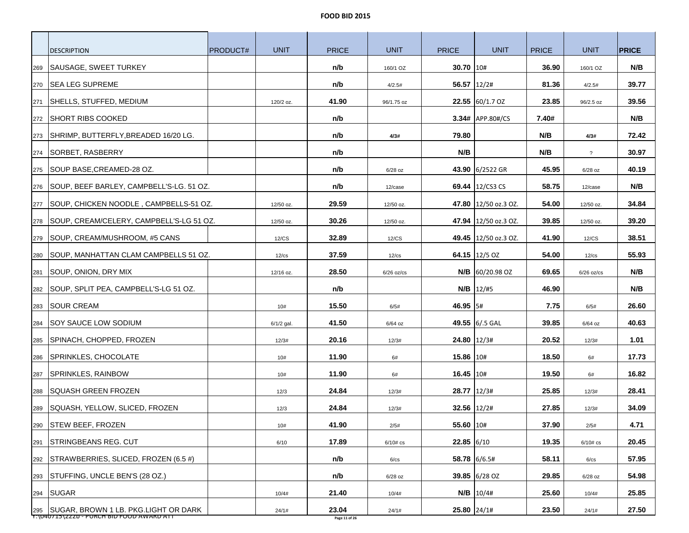|     | <b>DESCRIPTION</b>                                                                      | <b>PRODUCT#</b> | <b>UNIT</b>  | <b>PRICE</b>           | <b>UNIT</b>  | <b>PRICE</b>  | <b>UNIT</b>                  | <b>PRICE</b> | <b>UNIT</b>              | <b>PRICE</b> |
|-----|-----------------------------------------------------------------------------------------|-----------------|--------------|------------------------|--------------|---------------|------------------------------|--------------|--------------------------|--------------|
| 269 | SAUSAGE, SWEET TURKEY                                                                   |                 |              | n/b                    | 160/1 OZ     | 30.70 10#     |                              | 36.90        | 160/1 OZ                 | N/B          |
|     | 270   SEA LEG SUPREME                                                                   |                 |              | n/b                    | 4/2.5#       | 56.57 12/2#   |                              | 81.36        | 4/2.5#                   | 39.77        |
| 271 | SHELLS, STUFFED, MEDIUM                                                                 |                 | 120/2 oz.    | 41.90                  | 96/1.75 oz   |               | $22.55$ 60/1.7 OZ            | 23.85        | 96/2.5 oz                | 39.56        |
|     | 272 SHORT RIBS COOKED                                                                   |                 |              | n/b                    |              |               | 3.34# APP.80#/CS             | 7.40#        |                          | N/B          |
| 273 | SHRIMP, BUTTERFLY, BREADED 16/20 LG.                                                    |                 |              | n/b                    | 4/3#         | 79.80         |                              | N/B          | 4/3#                     | 72.42        |
|     | 274 SORBET, RASBERRY                                                                    |                 |              | n/b                    |              | N/B           |                              | N/B          | $\overline{\mathcal{E}}$ | 30.97        |
| 275 | SOUP BASE, CREAMED-28 OZ.                                                               |                 |              | n/b                    | $6/28$ oz    |               | 43.90 6/2522 GR              | 45.95        | $6/28$ oz                | 40.19        |
|     | 276   SOUP, BEEF BARLEY, CAMPBELL'S-LG. 51 OZ.                                          |                 |              | n/b                    | 12/case      |               | 69.44 $12/CS3 CS$            | 58.75        | 12/case                  | N/B          |
| 277 | SOUP, CHICKEN NOODLE, CAMPBELLS-51 OZ.                                                  |                 | 12/50 oz.    | 29.59                  | 12/50 oz.    |               | <b>47.80</b>  12/50 oz.3 OZ. | 54.00        | 12/50 oz.                | 34.84        |
|     | 278   SOUP, CREAM/CELERY, CAMPBELL'S-LG 51 OZ.                                          |                 | 12/50 oz.    | 30.26                  | 12/50 oz.    |               | 47.94 12/50 oz.3 OZ.         | 39.85        | 12/50 oz.                | 39.20        |
| 279 | SOUP, CREAM/MUSHROOM, #5 CANS                                                           |                 | 12/CS        | 32.89                  | 12/CS        |               | 49.45 12/50 oz.3 OZ.         | 41.90        | 12/CS                    | 38.51        |
| 280 | SOUP, MANHATTAN CLAM CAMPBELLS 51 OZ.                                                   |                 | $12$ / $cs$  | 37.59                  | $12$ / $cs$  |               | 64.15 $ 12/5$ OZ             | 54.00        | $12$ / $cs$              | 55.93        |
| 281 | SOUP, ONION, DRY MIX                                                                    |                 | 12/16 oz.    | 28.50                  | $6/26$ oz/cs |               | $N/B$ 60/20.98 OZ            | 69.65        | $6/26$ oz/cs             | N/B          |
| 282 | SOUP, SPLIT PEA, CAMPBELL'S-LG 51 OZ.                                                   |                 |              | n/b                    |              |               | $N/B$   12/#5                | 46.90        |                          | N/B          |
| 283 | <b>SOUR CREAM</b>                                                                       |                 | 10#          | 15.50                  | 6/5#         | 46.95 5#      |                              | 7.75         | 6/5#                     | 26.60        |
| 284 | <b>SOY SAUCE LOW SODIUM</b>                                                             |                 | $6/1/2$ gal. | 41.50                  | $6/64$ oz    |               | 49.55 6/.5 GAL               | 39.85        | $6/64$ oz                | 40.63        |
| 285 | SPINACH, CHOPPED, FROZEN                                                                |                 | 12/3#        | 20.16                  | 12/3#        |               | $24.80$   12/3#              | 20.52        | 12/3#                    | 1.01         |
| 286 | SPRINKLES, CHOCOLATE                                                                    |                 | 10#          | 11.90                  | 6#           | 15.86 10#     |                              | 18.50        | 6#                       | 17.73        |
| 287 | SPRINKLES, RAINBOW                                                                      |                 | 10#          | 11.90                  | 6#           | $16.45$   10# |                              | 19.50        | 6#                       | 16.82        |
| 288 | ISQUASH GREEN FROZEN                                                                    |                 | 12/3         | 24.84                  | 12/3#        |               | 28.77 12/3#                  | 25.85        | 12/3#                    | 28.41        |
| 289 | SQUASH, YELLOW, SLICED, FROZEN                                                          |                 | 12/3         | 24.84                  | 12/3#        |               | $32.56$   12/2#              | 27.85        | 12/3#                    | 34.09        |
| 290 | STEW BEEF, FROZEN                                                                       |                 | 10#          | 41.90                  | 2/5#         | 55.60 10#     |                              | 37.90        | 2/5#                     | 4.71         |
| 291 | STRINGBEANS REG. CUT                                                                    |                 | 6/10         | 17.89                  | $6/10#$ cs   | $22.85$ 6/10  |                              | 19.35        | $6/10#$ cs               | 20.45        |
| 292 | STRAWBERRIES, SLICED, FROZEN (6.5 #)                                                    |                 |              | n/b                    | 6/cs         |               | 58.78 6/6.5#                 | 58.11        | 6/cs                     | 57.95        |
| 293 | STUFFING, UNCLE BEN'S (28 OZ.)                                                          |                 |              | n/b                    | $6/28$ oz    |               | 39.85 6/28 OZ                | 29.85        | $6/28$ oz                | 54.98        |
|     | 294 SUGAR                                                                               |                 | 10/4#        | 21.40                  | 10/4#        |               | $N/B$ 10/4#                  | 25.60        | 10/4#                    | 25.85        |
|     | 295   SUGAR, BROWN 1 LB. PKG.LIGHT OR DARK<br>T:\U4U715\ZZZD - PURCH BID FOOD AWARD ATT |                 | 24/1#        | 23.04<br>Page 11 of 26 | 24/1#        |               | 25.80 24/1#                  | 23.50        | 24/1#                    | 27.50        |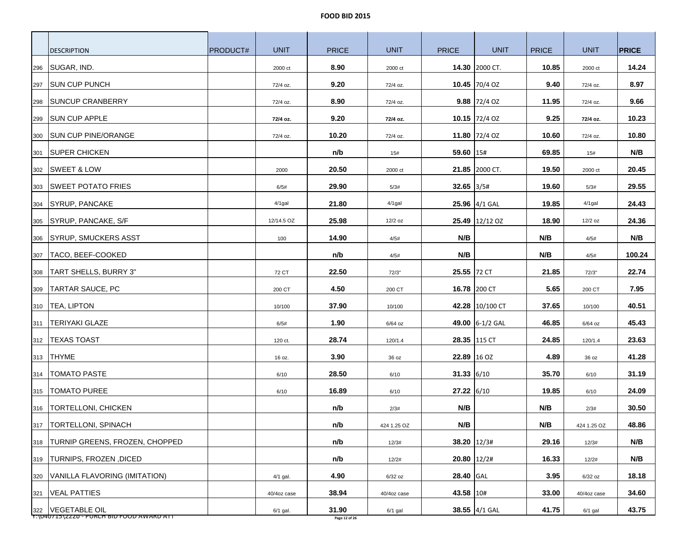|     | <b>DESCRIPTION</b>                 | <b>PRODUCT#</b> | <b>UNIT</b> | <b>PRICE</b> | <b>UNIT</b> | <b>PRICE</b>  | <b>UNIT</b>     | <b>PRICE</b> | <b>UNIT</b> | <b>PRICE</b> |
|-----|------------------------------------|-----------------|-------------|--------------|-------------|---------------|-----------------|--------------|-------------|--------------|
| 296 | SUGAR, IND.                        |                 | 2000 ct     | 8.90         | 2000 ct     |               | 14.30 2000 CT.  | 10.85        | 2000 ct     | 14.24        |
| 297 | <b>SUN CUP PUNCH</b>               |                 | 72/4 oz.    | 9.20         | 72/4 oz.    |               | 10.45 70/4 OZ   | 9.40         | 72/4 oz.    | 8.97         |
| 298 | <b>SUNCUP CRANBERRY</b>            |                 | 72/4 oz.    | 8.90         | 72/4 oz.    |               | 9.88 $ 72/4$ OZ | 11.95        | 72/4 oz.    | 9.66         |
| 299 | <b>SUN CUP APPLE</b>               |                 | 72/4 oz.    | 9.20         | 72/4 oz.    |               | 10.15 72/4 OZ   | 9.25         | 72/4 oz.    | 10.23        |
| 300 | <b>SUN CUP PINE/ORANGE</b>         |                 | 72/4 oz.    | 10.20        | 72/4 oz.    |               | 11.80 72/4 OZ   | 10.60        | 72/4 oz.    | 10.80        |
|     | 301 SUPER CHICKEN                  |                 |             | n/b          | 15#         | 59.60 15#     |                 | 69.85        | 15#         | N/B          |
| 302 | <b>SWEET &amp; LOW</b>             |                 | 2000        | 20.50        | 2000 ct     |               | 21.85 2000 CT.  | 19.50        | 2000 ct     | 20.45        |
| 303 | <b>SWEET POTATO FRIES</b>          |                 | 6/5#        | 29.90        | 5/3#        | $32.65$ 3/5#  |                 | 19.60        | 5/3#        | 29.55        |
| 304 | <b>SYRUP, PANCAKE</b>              |                 | $4/1$ gal   | 21.80        | $4/1$ gal   |               | 25.96 4/1 GAL   | 19.85        | $4/1$ gal   | 24.43        |
| 305 | SYRUP, PANCAKE, S/F                |                 | 12/14.5 OZ  | 25.98        | 12/2 oz     |               | 25.49 12/12 OZ  | 18.90        | $12/2$ oz   | 24.36        |
| 306 | <b>SYRUP, SMUCKERS ASST</b>        |                 | 100         | 14.90        | 4/5#        | N/B           |                 | N/B          | 4/5#        | N/B          |
| 307 | TACO, BEEF-COOKED                  |                 |             | n/b          | 4/5#        | N/B           |                 | N/B          | 4/5#        | 100.24       |
| 308 | TART SHELLS, BURRY 3"              |                 | 72 CT       | 22.50        | 72/3"       | 25.55 72 CT   |                 | 21.85        | 72/3"       | 22.74        |
| 309 | TARTAR SAUCE, PC                   |                 | 200 CT      | 4.50         | 200 CT      |               | 16.78 200 CT    | 5.65         | 200 CT      | 7.95         |
| 310 | <b>TEA, LIPTON</b>                 |                 | 10/100      | 37.90        | 10/100      |               | 42.28 10/100 CT | 37.65        | 10/100      | 40.51        |
| 311 | <b>TERIYAKI GLAZE</b>              |                 | 6/5#        | 1.90         | $6/64$ oz   |               | 49.00 6-1/2 GAL | 46.85        | 6/64 oz     | 45.43        |
| 312 | <b>TEXAS TOAST</b>                 |                 | 120 ct.     | 28.74        | 120/1.4     |               | 28.35 115 CT    | 24.85        | 120/1.4     | 23.63        |
| 313 | THYME                              |                 | 16 oz.      | 3.90         | 36 oz       | 22.89 16 OZ   |                 | 4.89         | 36 oz       | 41.28        |
| 314 | <b>TOMATO PASTE</b>                |                 | 6/10        | 28.50        | 6/10        | 31.33 $6/10$  |                 | 35.70        | 6/10        | 31.19        |
| 315 | <b>TOMATO PUREE</b>                |                 | 6/10        | 16.89        | 6/10        | $27.22$ 6/10  |                 | 19.85        | 6/10        | 24.09        |
| 316 | <b>TORTELLONI, CHICKEN</b>         |                 |             | n/b          | 2/3#        | N/B           |                 | N/B          | 2/3#        | 30.50        |
|     | 317   TORTELLONI, SPINACH          |                 |             | n/b          | 424 1.25 OZ | N/B           |                 | N/B          | 424 1.25 OZ | 48.86        |
|     | 318 TURNIP GREENS, FROZEN, CHOPPED |                 |             | n/b          | 12/3#       |               | $38.20$ 12/3#   | 29.16        | 12/3#       | N/B          |
| 319 | TURNIPS, FROZEN, DICED             |                 |             | n/b          | 12/2#       | $20.80$ 12/2# |                 | 16.33        | 12/2#       | N/B          |
| 320 | VANILLA FLAVORING (IMITATION)      |                 | 4/1 gal.    | 4.90         | $6/32$ oz   | 28.40 GAL     |                 | 3.95         | $6/32$ oz   | 18.18        |
| 321 | <b>VEAL PATTIES</b>                |                 | 40/4oz case | 38.94        | 40/4oz case | 43.58 10#     |                 | 33.00        | 40/4oz case | 34.60        |
|     | 322   VEGETABLE OIL                |                 | 6/1 gal.    | 31.90        | $6/1$ gal   |               | 38.55 4/1 GAL   | 41.75        | $6/1$ gal   | 43.75        |

Y:\040715\222b - PURCH BID FOOD AWARD ATT **Page 12 of 26**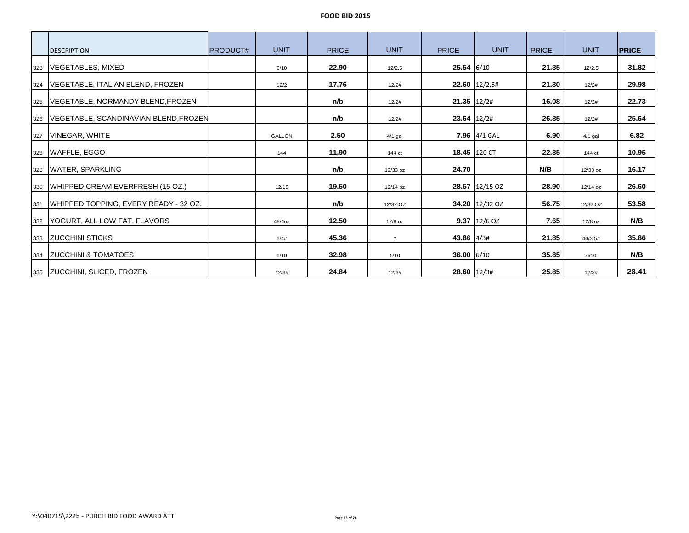|     | <b>DESCRIPTION</b>                      | <b>IPRODUCT#</b> | <b>UNIT</b>   | <b>PRICE</b> | <b>UNIT</b>    | <b>PRICE</b>    | <b>UNIT</b>     | <b>PRICE</b> | <b>UNIT</b> | <b>PRICE</b> |
|-----|-----------------------------------------|------------------|---------------|--------------|----------------|-----------------|-----------------|--------------|-------------|--------------|
| 323 | <b>VEGETABLES, MIXED</b>                |                  | 6/10          | 22.90        | 12/2.5         | $25.54$ 6/10    |                 | 21.85        | 12/2.5      | 31.82        |
| 324 | VEGETABLE, ITALIAN BLEND, FROZEN        |                  | 12/2          | 17.76        | 12/2#          |                 | $22.60$ 12/2.5# | 21.30        | 12/2#       | 29.98        |
| 325 | VEGETABLE, NORMANDY BLEND,FROZEN        |                  |               | n/b          | 12/2#          | $21.35$   12/2# |                 | 16.08        | 12/2#       | 22.73        |
| 326 | VEGETABLE, SCANDINAVIAN BLEND, FROZEN   |                  |               | n/b          | 12/2#          |                 | $23.64$ 12/2#   | 26.85        | 12/2#       | 25.64        |
| 327 | VINEGAR, WHITE                          |                  | <b>GALLON</b> | 2.50         | $4/1$ gal      |                 | 7.96 $4/1$ GAL  | 6.90         | $4/1$ gal   | 6.82         |
|     | 328   WAFFLE, EGGO                      |                  | 144           | 11.90        | 144 ct         |                 | 18.45 120 CT    | 22.85        | 144 ct      | 10.95        |
| 329 | <b>WATER, SPARKLING</b>                 |                  |               | n/b          | 12/33 oz       | 24.70           |                 | N/B          | 12/33 oz    | 16.17        |
|     | 330   WHIPPED CREAM, EVERFRESH (15 OZ.) |                  | 12/15         | 19.50        | 12/14 oz       |                 | 28.57 12/15 OZ  | 28.90        | 12/14 oz    | 26.60        |
| 331 | WHIPPED TOPPING, EVERY READY - 32 OZ.   |                  |               | n/b          | 12/32 OZ       |                 | 34.20 12/32 OZ  | 56.75        | 12/32 OZ    | 53.58        |
| 332 | YOGURT, ALL LOW FAT, FLAVORS            |                  | 48/4oz        | 12.50        | 12/8 oz        |                 | $9.37$ 12/6 OZ  | 7.65         | $12/8$ oz   | N/B          |
|     | 333 ZUCCHINI STICKS                     |                  | 6/4#          | 45.36        | $\overline{?}$ | 43.86 4/3#      |                 | 21.85        | 40/3.5#     | 35.86        |
| 334 | <b>ZUCCHINI &amp; TOMATOES</b>          |                  | 6/10          | 32.98        | 6/10           | 36.00 $6/10$    |                 | 35.85        | 6/10        | N/B          |
|     | 335 ZUCCHINI, SLICED, FROZEN            |                  | 12/3#         | 24.84        | 12/3#          |                 | 28.60 12/3#     | 25.85        | 12/3#       | 28.41        |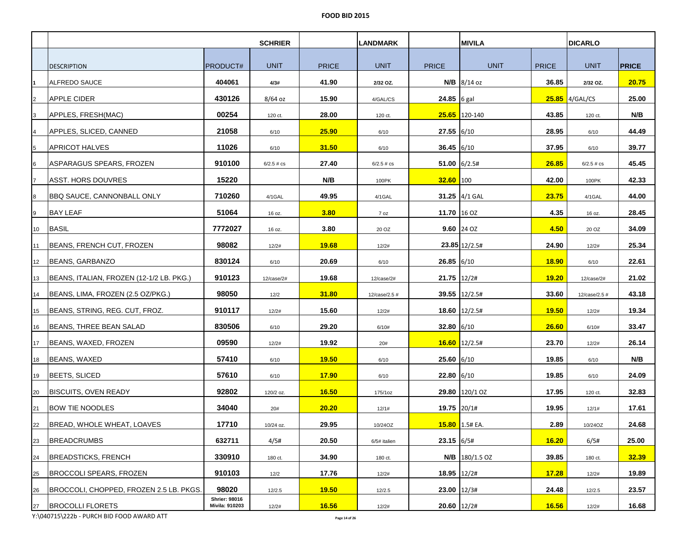|    |                                          |                                               | <b>SCHRIER</b> |              | <b>LANDMARK</b> |              | <b>MIVILA</b>     |              | <b>DICARLO</b>   |              |
|----|------------------------------------------|-----------------------------------------------|----------------|--------------|-----------------|--------------|-------------------|--------------|------------------|--------------|
|    |                                          |                                               |                |              |                 |              |                   |              |                  |              |
|    | <b>DESCRIPTION</b>                       | <b>PRODUCT#</b>                               | <b>UNIT</b>    | <b>PRICE</b> | <b>UNIT</b>     | <b>PRICE</b> | <b>UNIT</b>       | <b>PRICE</b> | <b>UNIT</b>      | <b>PRICE</b> |
|    | ALFREDO SAUCE                            | 404061                                        | 4/3#           | 41.90        | 2/32 OZ.        |              | N/B 8/14 oz       | 36.85        | 2/32 OZ.         | 20.75        |
| 2  | <b>APPLE CIDER</b>                       | 430126                                        | $8/64$ oz      | 15.90        | 4/GAL/CS        | 24.85 6 gal  |                   |              | $25.85$ 4/GAL/CS | 25.00        |
| 3  | APPLES, FRESH(MAC)                       | 00254                                         | 120 ct.        | 28.00        | 120 ct.         |              | 25.65 120-140     | 43.85        | 120 ct.          | N/B          |
| 4  | APPLES, SLICED, CANNED                   | 21058                                         | 6/10           | 25.90        | 6/10            | $27.55$ 6/10 |                   | 28.95        | 6/10             | 44.49        |
| 5  | APRICOT HALVES                           | 11026                                         | 6/10           | 31.50        | 6/10            | 36.45 6/10   |                   | 37.95        | 6/10             | 39.77        |
| 6  | ASPARAGUS SPEARS, FROZEN                 | 910100                                        | $6/2.5$ # $cs$ | 27.40        | $6/2.5 \# cs$   |              | $51.00$ 6/2.5#    | 26.85        | $6/2.5 \# cs$    | 45.45        |
|    | ASST. HORS DOUVRES                       | 15220                                         |                | N/B          | 100PK           | $32.60$ 100  |                   | 42.00        | 100PK            | 42.33        |
| 8  | BBQ SAUCE, CANNONBALL ONLY_              | 710260                                        | 4/1GAL         | 49.95        | 4/1GAL          |              | 31.25 $4/1$ GAL   | 23.75        | 4/1GAL           | 44.00        |
| 9  | <b>BAY LEAF</b>                          | 51064                                         | 16 oz.         | 3.80         | 7 oz            | 11.70 16 OZ  |                   | 4.35         | 16 oz.           | 28.45        |
| 10 | <b>BASIL</b>                             | 7772027                                       | 16 oz.         | 3.80         | 20 OZ           |              | $9.60$ 24 OZ      | 4.50         | 20 OZ            | 34.09        |
| 11 | BEANS, FRENCH CUT, FROZEN                | 98082                                         | 12/2#          | 19.68        | 12/2#           |              | 23.85 12/2.5#     | 24.90        | 12/2#            | 25.34        |
| 12 | BEANS, GARBANZO                          | 830124                                        | 6/10           | 20.69        | 6/10            | $26.85$ 6/10 |                   | <b>18.90</b> | 6/10             | 22.61        |
| 13 | BEANS, ITALIAN, FROZEN (12-1/2 LB. PKG.) | 910123                                        | 12/case/2#     | 19.68        | 12/case/2#      | 21.75 12/2#  |                   | 19.20        | 12/case/2#       | 21.02        |
| 14 | BEANS, LIMA, FROZEN (2.5 OZ/PKG.)        | 98050                                         | 12/2           | 31.80        | 12/case/2.5 #   |              | 39.55 12/2.5#     | 33.60        | 12/case/2.5 #    | 43.18        |
| 15 | BEANS, STRING, REG. CUT, FROZ.           | 910117                                        | 12/2#          | 15.60        | 12/2#           |              | $18.60$   12/2.5# | 19.50        | 12/2#            | 19.34        |
| 16 | BEANS, THREE BEAN SALAD                  | 830506                                        | 6/10           | 29.20        | 6/10#           | $32.80$ 6/10 |                   | 26.60        | 6/10#            | 33.47        |
| 17 | BEANS, WAXED, FROZEN                     | 09590                                         | 12/2#          | 19.92        | 20#             |              | $16.60$ 12/2.5#   | 23.70        | 12/2#            | 26.14        |
| 18 | BEANS, WAXED                             | 57410                                         | 6/10           | 19.50        | 6/10            | 25.60 6/10   |                   | 19.85        | 6/10             | N/B          |
| 19 | BEETS, SLICED                            | 57610                                         | 6/10           | 17.90        | 6/10            | 22.80 6/10   |                   | 19.85        | 6/10             | 24.09        |
| 20 | <b>BISCUITS, OVEN READY</b>              | 92802                                         | 120/2 oz.      | 16.50        | 175/1oz         |              | 29.80 120/1 OZ    | 17.95        | 120 ct.          | 32.83        |
| 21 | <b>BOW TIE NOODLES</b>                   | 34040                                         | 20#            | 20.20        | 12/1#           | 19.75 20/1#  |                   | 19.95        | 12/1#            | 17.61        |
| 22 | BREAD, WHOLE WHEAT, LOAVES               | 17710                                         | 10/24 oz.      | 29.95        | 10/24OZ         |              | 15.80 1.5# EA.    | 2.89         | 10/24OZ          | 24.68        |
| 23 | <b>BREADCRUMBS</b>                       | 632711                                        | 4/5#           | 20.50        | 6/5# italien    | 23.15 6/5#   |                   | 16.20        | 6/5#             | 25.00        |
| 24 | <b>BREADSTICKS, FRENCH</b>               | 330910                                        | 180 ct.        | 34.90        | 180 ct.         |              | N/B 180/1.5 OZ    | 39.85        | 180 ct.          | 32.39        |
| 25 | BROCCOLI SPEARS, FROZEN                  | 910103                                        | 12/2           | 17.76        | 12/2#           | 18.95 12/2#  |                   | <b>17.28</b> | 12/2#            | 19.89        |
| 26 | BROCCOLI, CHOPPED, FROZEN 2.5 LB. PKGS.  | 98020                                         | 12/2.5         | 19.50        | 12/2.5          | 23.00 12/3#  |                   | 24.48        | 12/2.5           | 23.57        |
| 27 | <b>BROCOLLI FLORETS</b>                  | <b>Shrier: 98016</b><br><b>Mivila: 910203</b> | 12/2#          | 16.56        | 12/2#           | 20.60 12/2#  |                   | 16.56        | 12/2#            | 16.68        |

Y:\040715\222b - PURCH BID FOOD AWARD ATT **Page 14 of 26**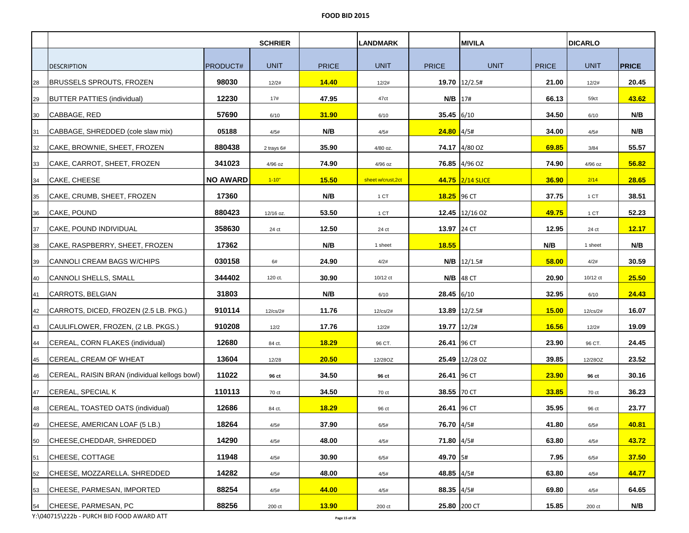|    |                                               |                 | <b>SCHRIER</b> |              | <b>LANDMARK</b>   |              | <b>MIVILA</b>        |              | <b>DICARLO</b> |              |
|----|-----------------------------------------------|-----------------|----------------|--------------|-------------------|--------------|----------------------|--------------|----------------|--------------|
|    |                                               |                 |                |              |                   |              |                      |              |                |              |
|    | <b>DESCRIPTION</b>                            | <b>PRODUCT#</b> | <b>UNIT</b>    | <b>PRICE</b> | <b>UNIT</b>       | <b>PRICE</b> | <b>UNIT</b>          | <b>PRICE</b> | <b>UNIT</b>    | <b>PRICE</b> |
| 28 | BRUSSELS SPROUTS, FROZEN                      | 98030           | 12/2#          | 14.40        | 12/2#             |              | 19.70 12/2.5#        | 21.00        | 12/2#          | 20.45        |
| 29 | <b>BUTTER PATTIES (individual)</b>            | 12230           | 17#            | 47.95        | 47ct              | N/B          | 17#                  | 66.13        | 59ct           | 43.62        |
| 30 | CABBAGE, RED                                  | 57690           | 6/10           | 31.90        | 6/10              | $35.45$ 6/10 |                      | 34.50        | 6/10           | N/B          |
| 31 | CABBAGE, SHREDDED (cole slaw mix)             | 05188           | 4/5#           | N/B          | 4/5#              | $24.80$ 4/5# |                      | 34.00        | 4/5#           | N/B          |
| 32 | CAKE, BROWNIE, SHEET, FROZEN                  | 880438          | 2 trays 6#     | 35.90        | 4/80 oz.          |              | 74.17 4/80 OZ        | 69.85        | 3/84           | 55.57        |
| 33 | CAKE, CARROT, SHEET, FROZEN                   | 341023          | 4/96 oz        | 74.90        | 4/96 oz           |              | <b>76.85</b> 4/96 OZ | 74.90        | 4/96 oz        | 56.82        |
| 34 | CAKE, CHEESE                                  | <b>NO AWARD</b> | $1 - 10"$      | 15.50        | sheet w/crust,2ct |              | 44.75 2/14 SLICE     | 36.90        | 2/14           | 28.65        |
| 35 | CAKE, CRUMB, SHEET, FROZEN                    | 17360           |                | N/B          | 1 CT              | 18.25 96 CT  |                      | 37.75        | 1 CT           | 38.51        |
| 36 | CAKE, POUND                                   | 880423          | 12/16 oz.      | 53.50        | 1 CT              |              | 12.45 12/16 OZ       | 49.75        | 1 CT           | 52.23        |
| 37 | CAKE, POUND INDIVIDUAL                        | 358630          | 24 ct          | 12.50        | 24 ct             | 13.97 24 CT  |                      | 12.95        | 24 ct          | 12.17        |
| 38 | CAKE, RASPBERRY, SHEET, FROZEN                | 17362           |                | N/B          | 1 sheet           | 18.55        |                      | N/B          | 1 sheet        | N/B          |
| 39 | CANNOLI CREAM BAGS W/CHIPS                    | 030158          | 6#             | 24.90        | 4/2#              |              | $N/B$ 12/1.5#        | 58.00        | 4/2#           | 30.59        |
| 40 | <b>CANNOLI SHELLS, SMALL</b>                  | 344402          | 120 ct.        | 30.90        | 10/12 ct          |              | <b>N/B</b> 48 CT     | 20.90        | 10/12 ct       | 25.50        |
| 41 | CARROTS, BELGIAN                              | 31803           |                | N/B          | 6/10              | $28.45$ 6/10 |                      | 32.95        | 6/10           | 24.43        |
| 42 | CARROTS, DICED, FROZEN (2.5 LB. PKG.)         | 910114          | 12/cs/2#       | 11.76        | 12/cs/2#          |              | 13.89 12/2.5#        | 15.00        | 12/cs/2#       | 16.07        |
| 43 | CAULIFLOWER, FROZEN, (2 LB. PKGS.)            | 910208          | 12/2           | 17.76        | 12/2#             | 19.77 12/2#  |                      | 16.56        | 12/2#          | 19.09        |
| 44 | CEREAL, CORN FLAKES (individual)              | 12680           | 84 ct.         | 18.29        | 96 CT.            | 26.41 96 CT  |                      | 23.90        | 96 CT.         | 24.45        |
| 45 | CEREAL, CREAM OF WHEAT                        | 13604           | 12/28          | 20.50        | 12/28OZ           |              | 25.49 12/28 OZ       | 39.85        | 12/28OZ        | 23.52        |
| 46 | CEREAL, RAISIN BRAN (individual kellogs bowl) | 11022           | 96 ct          | 34.50        | 96 ct             | 26.41 96 CT  |                      | 23.90        | 96 ct          | 30.16        |
| 47 | CEREAL, SPECIAL K                             | 110113          | 70 ct          | 34.50        | 70 ct             | 38.55 70 CT  |                      | 33.85        | 70 ct          | 36.23        |
| 48 | CEREAL, TOASTED OATS (individual)             | 12686           | 84 ct.         | 18.29        | 96 ct             | 26.41        | 96 CT                | 35.95        | 96 ct          | 23.77        |
| 49 | CHEESE, AMERICAN LOAF (5 LB.)                 | 18264           | 4/5#           | 37.90        | 6/5#              | 76.70 4/5#   |                      | 41.80        | 6/5#           | 40.81        |
| 50 | CHEESE,CHEDDAR, SHREDDED                      | 14290           | 4/5#           | 48.00        | 4/5#              | 71.80 4/5#   |                      | 63.80        | 4/5#           | 43.72        |
| 51 | CHEESE, COTTAGE                               | 11948           | 4/5#           | 30.90        | 6/5#              | 49.70 5#     |                      | 7.95         | 6/5#           | 37.50        |
| 52 | ICHEESE. MOZZARELLA. SHREDDED                 | 14282           | 4/5#           | 48.00        | 4/5#              | 48.85 4/5#   |                      | 63.80        | 4/5#           | 44.77        |
| 53 | CHEESE, PARMESAN, IMPORTED                    | 88254           | 4/5#           | 44.00        | 4/5#              | 88.35 4/5#   |                      | 69.80        | 4/5#           | 64.65        |
| 54 | CHEESE, PARMESAN, PC                          | 88256           | 200 ct         | <b>13.90</b> | 200 ct            | 25.80 200 CT |                      | 15.85        | 200 ct         | N/B          |

Y:\040715\222b - PURCH BID FOOD AWARD ATT **Page 15 of 26**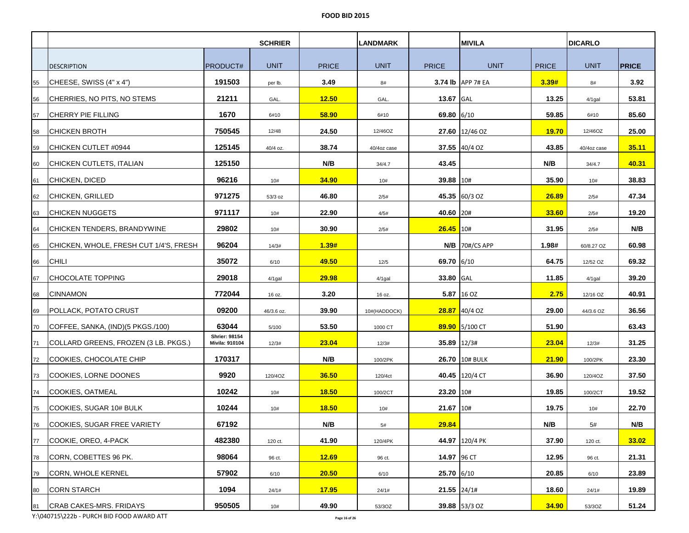|    |                                        |                                        | <b>SCHRIER</b> |              | <b>LANDMARK</b> |               | <b>MIVILA</b>     |              | <b>DICARLO</b> |              |
|----|----------------------------------------|----------------------------------------|----------------|--------------|-----------------|---------------|-------------------|--------------|----------------|--------------|
|    |                                        |                                        |                |              |                 |               |                   |              |                |              |
|    | <b>DESCRIPTION</b>                     | <b>PRODUCT#</b>                        | <b>UNIT</b>    | <b>PRICE</b> | <b>UNIT</b>     | <b>PRICE</b>  | <b>UNIT</b>       | <b>PRICE</b> | <b>UNIT</b>    | <b>PRICE</b> |
| 55 | CHEESE, SWISS (4" x 4")                | 191503                                 | per lb.        | 3.49         | 8#              |               | 3.74 lb APP 7# EA | 3.39#        | 8#             | 3.92         |
| 56 | CHERRIES, NO PITS, NO STEMS            | 21211                                  | GAL.           | 12.50        | GAL.            | 13.67 GAL     |                   | 13.25        | $4/1$ gal      | 53.81        |
| 57 | <b>CHERRY PIE FILLING</b>              | 1670                                   | 6#10           | 58.90        | 6#10            | 69.80 6/10    |                   | 59.85        | 6#10           | 85.60        |
| 58 | <b>CHICKEN BROTH</b>                   | 750545                                 | 12/48          | 24.50        | 12/46OZ         |               | 27.60 12/46 OZ    | <b>19.70</b> | 12/46OZ        | 25.00        |
| 59 | CHICKEN CUTLET #0944                   | 125145                                 | 40/4 oz.       | 38.74        | 40/4oz case     |               | $37.55$ 40/4 OZ   | 43.85        | 40/4oz case    | 35.11        |
| 60 | CHICKEN CUTLETS, ITALIAN               | 125150                                 |                | N/B          | 34/4.7          | 43.45         |                   | N/B          | 34/4.7         | 40.31        |
| 61 | <b>CHICKEN, DICED</b>                  | 96216                                  | 10#            | 34.90        | 10#             | 39.88 10#     |                   | 35.90        | 10#            | 38.83        |
| 62 | <b>CHICKEN, GRILLED</b>                | 971275                                 | 53/3 oz        | 46.80        | 2/5#            |               | 45.35 60/3 OZ     | 26.89        | 2/5#           | 47.34        |
| 63 | ICHICKEN NUGGETS                       | 971117                                 | 10#            | 22.90        | 4/5#            | 40.60 20#     |                   | 33.60        | 2/5#           | 19.20        |
| 64 | CHICKEN TENDERS, BRANDYWINE            | 29802                                  | 10#            | 30.90        | 2/5#            | $26.45$ 10#   |                   | 31.95        | 2/5#           | N/B          |
| 65 | CHICKEN, WHOLE, FRESH CUT 1/4'S, FRESH | 96204                                  | 14/3#          | 1.39#        |                 |               | $N/B$ 70#/CS APP  | 1.98#        | 60/8.27 OZ     | 60.98        |
| 66 | <b>CHILI</b>                           | 35072                                  | 6/10           | 49.50        | 12/5            | 69.70 6/10    |                   | 64.75        | 12/52 OZ       | 69.32        |
| 67 | <b>CHOCOLATE TOPPING</b>               | 29018                                  | 4/1gal         | 29.98        | 4/1gal          | 33.80 GAL     |                   | 11.85        | $4/1$ gal      | 39.20        |
| 68 | <b>CINNAMON</b>                        | 772044                                 | 16 oz.         | 3.20         | 16 oz.          |               | 5.87 16 OZ        | 2.75         | 12/16 OZ       | 40.91        |
| 69 | POLLACK, POTATO CRUST                  | 09200                                  | 46/3.6 oz.     | 39.90        | 10#(HADDOCK)    |               | $28.87$ 40/4 OZ   | 29.00        | 44/3.6 OZ      | 36.56        |
| 70 | COFFEE, SANKA, (IND)(5 PKGS./100)      | 63044                                  | 5/100          | 53.50        | 1000 CT         |               | 89.90 5/100 CT    | 51.90        |                | 63.43        |
| 71 | COLLARD GREENS, FROZEN (3 LB. PKGS.)   | <b>Shrier: 98154</b><br>Mivila: 910104 | 12/3#          | 23.04        | 12/3#           | 35.89 12/3#   |                   | 23.04        | 12/3#          | 31.25        |
| 72 | COOKIES, CHOCOLATE CHIP                | 170317                                 |                | N/B          | 100/2PK         |               | 26.70 10# BULK    | 21.90        | 100/2PK        | 23.30        |
| 73 | COOKIES, LORNE DOONES                  | 9920                                   | 120/4OZ        | 36.50        | 120/4ct         |               | 40.45 120/4 CT    | 36.90        | 120/4OZ        | 37.50        |
| 74 | COOKIES, OATMEAL                       | 10242                                  | 10#            | <b>18.50</b> | 100/2CT         | 23.20 10#     |                   | 19.85        | 100/2CT        | 19.52        |
| 75 | COOKIES, SUGAR 10# BULK                | 10244                                  | 10#            | 18.50        | 10#             | 21.67         | 10#               | 19.75        | 10#            | 22.70        |
| 76 | COOKIES, SUGAR FREE VARIETY            | 67192                                  |                | N/B          | 5#              | <u>29.84</u>  |                   | N/B          | 5#             | N/B          |
| 77 | COOKIE, OREO, 4-PACK                   | 482380                                 | 120 ct.        | 41.90        | 120/4PK         |               | 44.97 120/4 PK    | 37.90        | 120 ct.        | 33.02        |
| 78 | CORN, COBETTES 96 PK.                  | 98064                                  | 96 ct.         | 12.69        | 96 ct.          | 14.97 96 CT   |                   | 12.95        | 96 ct.         | 21.31        |
| 79 | CORN, WHOLE KERNEL                     | 57902                                  | 6/10           | 20.50        | 6/10            | 25.70 6/10    |                   | 20.85        | 6/10           | 23.89        |
| 80 | <b>CORN STARCH</b>                     | 1094                                   | 24/1#          | 17.95        | 24/1#           | $21.55$ 24/1# |                   | 18.60        | 24/1#          | 19.89        |
| 81 | <b>CRAB CAKES-MRS. FRIDAYS</b>         | 950505                                 | 10#            | 49.90        | 53/3OZ          |               | 39.88 53/3 OZ     | 34.90        | 53/3OZ         | 51.24        |

Y:\040715\222b - PURCH BID FOOD AWARD ATT **Page 16 of 26**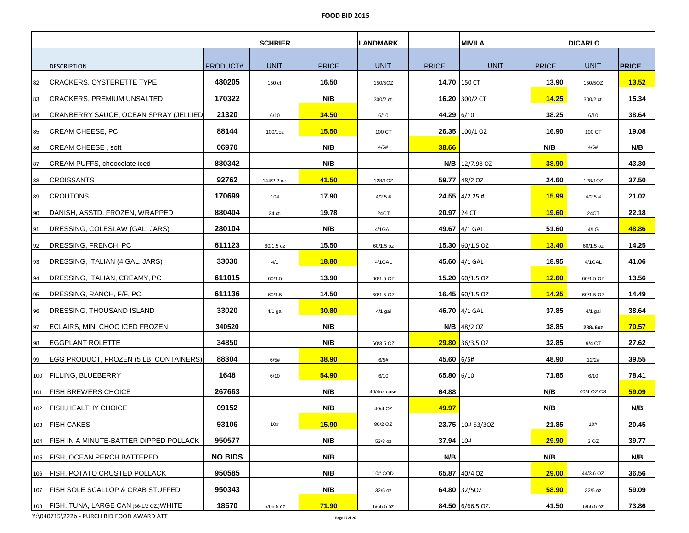|     |                                                |                 | <b>SCHRIER</b> |              | <b>LANDMARK</b> |              | <b>MIVILA</b>           |              | <b>DICARLO</b> |              |
|-----|------------------------------------------------|-----------------|----------------|--------------|-----------------|--------------|-------------------------|--------------|----------------|--------------|
|     |                                                |                 |                |              |                 |              |                         |              |                |              |
|     | <b>DESCRIPTION</b>                             | <b>PRODUCT#</b> | <b>UNIT</b>    | <b>PRICE</b> | <b>UNIT</b>     | <b>PRICE</b> | <b>UNIT</b>             | <b>PRICE</b> | <b>UNIT</b>    | <b>PRICE</b> |
| 82  | <b>CRACKERS, OYSTERETTE TYPE</b>               | 480205          | 150 ct.        | 16.50        | 150/5OZ         | 14.70 150 CT |                         | 13.90        | 150/5OZ        | 13.52        |
| 83  | <b>CRACKERS, PREMIUM UNSALTED</b>              | 170322          |                | N/B          | 300/2 ct.       |              | 16.20 300/2 CT          | 14.25        | 300/2 ct.      | 15.34        |
| 84  | CRANBERRY SAUCE, OCEAN SPRAY (JELLIED)         | 21320           | 6/10           | 34.50        | 6/10            | 44.29 6/10   |                         | 38.25        | 6/10           | 38.64        |
| 85  | CREAM CHEESE, PC                               | 88144           | 100/1oz        | 15.50        | 100 CT          |              | <b>26.35</b> 100/1 OZ   | 16.90        | 100 CT         | 19.08        |
| 86  | CREAM CHEESE, soft                             | 06970           |                | N/B          | 4/5#            | 38.66        |                         | N/B          | 4/5#           | N/B          |
| 87  | CREAM PUFFS, choocolate iced                   | 880342          |                | N/B          |                 |              | <b>N/B</b>   12/7.98 OZ | 38.90        |                | 43.30        |
| 88  | <b>CROISSANTS</b>                              | 92762           | 144/2.2 oz.    | 41.50        | 128/1OZ         |              | 59.77 48/2 OZ           | 24.60        | 128/1OZ        | 37.50        |
| 89  | <b>CROUTONS</b>                                | 170699          | 10#            | 17.90        | 4/2.5#          |              | $24.55$ 4/2.25 #        | <u>15.99</u> | 4/2.5#         | 21.02        |
| 90  | JDANISH, ASSTD. FROZEN, WRAPPED                | 880404          | 24 ct.         | 19.78        | 24CT            | 20.97 24 CT  |                         | 19.60        | 24CT           | 22.18        |
| 91  | DRESSING, COLESLAW (GAL. JARS)                 | 280104          |                | N/B          | 4/1GAL          |              | 49.67 4/1 GAL           | 51.60        | 4/LG           | 48.86        |
| 92  | DRESSING, FRENCH, PC                           | 611123          | 60/1.5 oz      | 15.50        | 60/1.5 oz       |              | 15.30 60/1.5 OZ         | <b>13.40</b> | 60/1.5 oz      | 14.25        |
| 93  | DRESSING, ITALIAN (4 GAL. JARS)                | 33030           | 4/1            | <b>18.80</b> | 4/1GAL          |              | 45.60 4/1 GAL           | 18.95        | 4/1GAL         | 41.06        |
| 94  | DRESSING, ITALIAN, CREAMY, PC                  | 611015          | 60/1.5         | 13.90        | 60/1.5 OZ       |              | 15.20 60/1.5 OZ         | 12.60        | 60/1.5 OZ      | 13.56        |
| 95  | DRESSING, RANCH, F/F, PC                       | 611136          | 60/1.5         | 14.50        | 60/1.5 OZ       |              | 16.45 $ 60/1.5$ OZ      | 14.25        | 60/1.5 OZ      | 14.49        |
| 96  | IDRESSING, THOUSAND ISLAND                     | 33020           | $4/1$ gal      | 30.80        | $4/1$ gal       |              | 46.70 4/1 GAL           | 37.85        | $4/1$ gal      | 38.64        |
| 97  | ECLAIRS, MINI CHOC ICED FROZEN                 | 340520          |                | N/B          |                 |              | <b>N/B</b> 48/2 OZ      | 38.85        | 288/.6oz       | 70.57        |
| 98  | EGGPLANT ROLETTE                               | 34850           |                | N/B          | 60/3.5 OZ       |              | $29.80$ 36/3.5 OZ       | 32.85        | 9/4 CT         | 27.62        |
| 99  | EGG PRODUCT, FROZEN (5 LB. CONTAINERS)         | 88304           | 6/5#           | 38.90        | 6/5#            | 45.60 6/5#   |                         | 48.90        | 12/2#          | 39.55        |
|     | 100   FILLING, BLUEBERRY                       | 1648            | 6/10           | 54.90        | 6/10            | 65.80 6/10   |                         | 71.85        | 6/10           | 78.41        |
|     | 101   FISH BREWERS CHOICE                      | 267663          |                | N/B          | 40/4oz case     | 64.88        |                         | N/B          | 40/4 OZ CS     | 59.09        |
|     | 102   FISH, HEALTHY CHOICE                     | 09152           |                | N/B          | 40/4 OZ         | 49.97        |                         | N/B          |                | N/B          |
| 103 | <b>FISH CAKES</b>                              | 93106           | 10#            | 15.90        | 80/2 OZ         |              | 23.75 10#-53/30Z        | 21.85        | 10#            | 20.45        |
|     | 104   FISH IN A MINUTE-BATTER DIPPED POLLACK   | 950577          |                | N/B          | 53/3 oz         | 37.94 10#    |                         | 29.90        | 2 OZ           | 39.77        |
|     | 105   FISH, OCEAN PERCH BATTERED               | <b>NO BIDS</b>  |                | N/B          |                 | N/B          |                         | N/B          |                | N/B          |
|     | 106 FISH, POTATO CRUSTED POLLACK               | 950585          |                | N/B          | 10# COD         |              | 65.87 40/4 OZ           | <b>29.00</b> | 44/3.6 OZ      | 36.56        |
|     | 107   FISH SOLE SCALLOP & CRAB STUFFED         | 950343          |                | N/B          | 32/5 oz         |              | 64.80 32/50Z            | 58.90        | 32/5 oz        | 59.09        |
|     | 108   FISH, TUNA, LARGE CAN (66-1/2 OZ.) WHITE | 18570           | 6/66.5 oz      | 71.90        | $6/66.5$ oz     |              | 84.50 6/66.5 OZ.        | 41.50        | 6/66.5 oz      | 73.86        |

Y:\040715\222b - PURCH BID FOOD AWARD ATT **Page 17 of 26**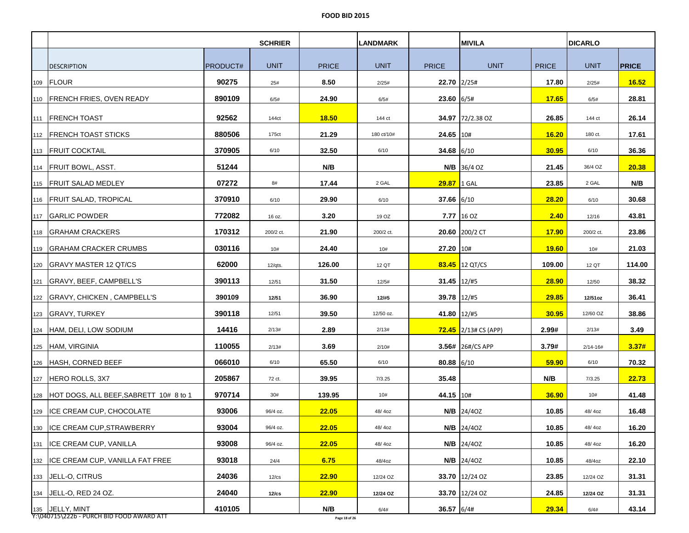|     |                                           |          | <b>SCHRIER</b> |              | <b>LANDMARK</b> |              | <b>MIVILA</b>               |              | <b>DICARLO</b> |              |
|-----|-------------------------------------------|----------|----------------|--------------|-----------------|--------------|-----------------------------|--------------|----------------|--------------|
|     |                                           |          |                |              |                 |              |                             |              |                |              |
|     | <b>DESCRIPTION</b>                        | PRODUCT# | <b>UNIT</b>    | <b>PRICE</b> | <b>UNIT</b>     | <b>PRICE</b> | <b>UNIT</b>                 | <b>PRICE</b> | <b>UNIT</b>    | <b>PRICE</b> |
|     | 109 FLOUR                                 | 90275    | 25#            | 8.50         | 2/25#           | 22.70 2/25#  |                             | 17.80        | 2/25#          | 16.52        |
|     | 110   FRENCH FRIES, OVEN READY            | 890109   | 6/5#           | 24.90        | 6/5#            | 23.60        | 6/5#                        | 17.65        | 6/5#           | 28.81        |
|     | 111 <b>FRENCH TOAST</b>                   | 92562    | 144ct          | 18.50        | 144 ct          |              | 34.97 72/2.38 OZ            | 26.85        | 144 ct         | 26.14        |
|     | 112 FRENCH TOAST STICKS                   | 880506   | 175ct          | 21.29        | 180 ct/10#      | 24.65 10#    |                             | 16.20        | 180 ct.        | 17.61        |
|     | 113 <b>FRUIT COCKTAIL</b>                 | 370905   | 6/10           | 32.50        | 6/10            | 34.68 $6/10$ |                             | 30.95        | 6/10           | 36.36        |
|     | 114   FRUIT BOWL, ASST.                   | 51244    |                | N/B          |                 |              | $N/B$ 36/4 OZ               | 21.45        | 36/4 OZ        | 20.38        |
|     | 115 FRUIT SALAD MEDLEY                    | 07272    | 8#             | 17.44        | 2 GAL           | 29.87 1 GAL  |                             | 23.85        | 2 GAL          | N/B          |
|     | 116   FRUIT SALAD, TROPICAL               | 370910   | 6/10           | 29.90        | 6/10            | $37.66$ 6/10 |                             | 28.20        | 6/10           | 30.68        |
|     | 117 GARLIC POWDER                         | 772082   | 16 oz.         | 3.20         | 19 OZ           |              | $7.77$ 16 OZ                | 2.40         | 12/16          | 43.81        |
|     | 118 GRAHAM CRACKERS                       | 170312   | 200/2 ct.      | 21.90        | 200/2 ct.       |              | 20.60 200/2 CT              | 17.90        | 200/2 ct.      | 23.86        |
|     | 119 GRAHAM CRACKER CRUMBS                 | 030116   | 10#            | 24.40        | 10#             | 27.20 10#    |                             | <b>19.60</b> | 10#            | 21.03        |
|     |                                           | 62000    | $12/q$ ts.     | 126.00       | 12 QT           |              | <b>83.45</b> 12 QT/CS       | 109.00       | 12 QT          | 114.00       |
| 121 | GRAVY, BEEF, CAMPBELL'S                   | 390113   | 12/51          | 31.50        | 12/5#           | 31.45 12/#5  |                             | 28.90        | 12/50          | 38.32        |
|     | 122 GRAVY, CHICKEN, CAMPBELL'S            | 390109   | 12/51          | 36.90        | 12/#5           | 39.78 12/#5  |                             | 29.85        | 12/51oz        | 36.41        |
|     | 123 GRAVY, TURKEY                         | 390118   | 12/51          | 39.50        | 12/50 oz.       | 41.80 12/#5  |                             | 30.95        | 12/60 OZ       | 38.86        |
|     | 124   HAM, DELI, LOW SODIUM               | 14416    | 2/13#          | 2.89         | 2/13#           |              | <b>72.45</b> 2/13# CS (APP) | 2.99#        | 2/13#          | 3.49         |
|     | 125 HAM, VIRGINIA                         | 110055   | 2/13#          | 3.69         | 2/10#           |              | 3.56# 26#/CS APP            | 3.79#        | $2/14 - 16#$   | 3.37#        |
|     | 126 HASH, CORNED BEEF                     | 066010   | 6/10           | 65.50        | 6/10            | 80.88 6/10   |                             | 59.90        | 6/10           | 70.32        |
|     | 127 HERO ROLLS, 3X7                       | 205867   | 72 ct.         | 39.95        | 7/3.25          | 35.48        |                             | N/B          | 7/3.25         | 22.73        |
|     | 128 HOT DOGS, ALL BEEF,SABRETT 10# 8 to 1 | 970714   | 30#            | 139.95       | 10#             | 44.15 10#    |                             | 36.90        | 10#            | 41.48        |
| 129 | ICE CREAM CUP, CHOCOLATE                  | 93006    | 96/4 oz.       | 22.05        | 48/40Z          |              | <b>N/B</b> 24/40Z           | 10.85        | 48/40z         | 16.48        |
| 130 | <b>ICE CREAM CUP, STRAWBERRY</b>          | 93004    | 96/4 oz.       | 22.05        | 48/40Z          |              | $N/B$ 24/40Z                | 10.85        | 48/40z         | 16.20        |
| 131 | <b>ICE CREAM CUP, VANILLA</b>             | 93008    | 96/4 oz.       | 22.05        | 48/40Z          |              | <b>N/B</b> 24/40Z           | 10.85        | 48/4oz         | 16.20        |
|     | 132 ICE CREAM CUP, VANILLA FAT FREE       | 93018    | 24/4           | 6.75         | 48/4oz          |              | $N/B$ 24/40Z                | 10.85        | 48/4oz         | 22.10        |
| 133 | JELL-O, CITRUS                            | 24036    | $12$ / $cs$    | 22.90        | 12/24 OZ        |              | 33.70 12/24 OZ              | 23.85        | 12/24 OZ       | 31.31        |
|     | 134 JELL-O, RED 24 OZ.                    | 24040    | 12/cs          | 22.90        | 12/24 OZ        |              | 33.70 12/24 OZ              | 24.85        | 12/24 OZ       | 31.31        |
|     | 135 JELLY, MINT                           | 410105   |                | N/B          | 6/4#            | 36.57 6/4#   |                             | 29.34        | 6/4#           | 43.14        |

Y:\040715\222b - PURCH BID FOOD AWARD ATT **Page 18 of 26**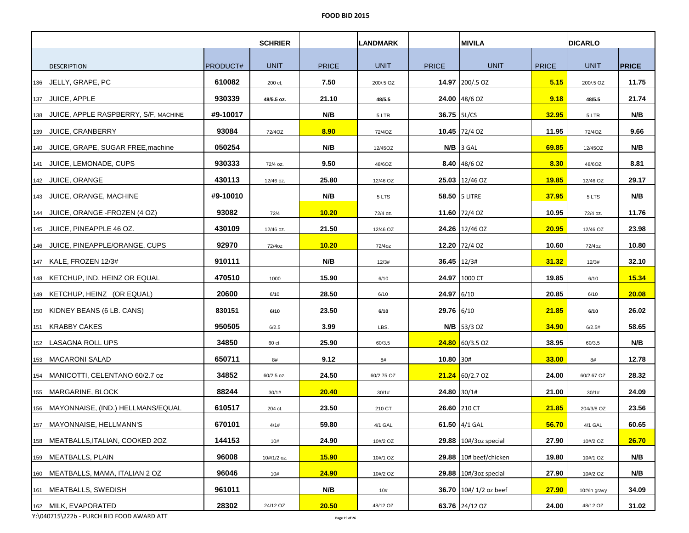|     |                                         |          | <b>SCHRIER</b> |              | <b>LANDMARK</b> |                 | <b>MIVILA</b>                 |              | <b>DICARLO</b> |              |
|-----|-----------------------------------------|----------|----------------|--------------|-----------------|-----------------|-------------------------------|--------------|----------------|--------------|
|     |                                         |          |                |              |                 |                 |                               |              |                |              |
|     | <b>DESCRIPTION</b>                      | PRODUCT# | <b>UNIT</b>    | <b>PRICE</b> | <b>UNIT</b>     | <b>PRICE</b>    | <b>UNIT</b>                   | <b>PRICE</b> | <b>UNIT</b>    | <b>PRICE</b> |
| 136 | JELLY, GRAPE, PC                        | 610082   | 200 ct,        | 7.50         | 200/.5 OZ       |                 | 14.97 200/.5 OZ               | 5.15         | 200/.5 OZ      | 11.75        |
|     | 137 JUICE, APPLE                        | 930339   | 48/5.5 oz.     | 21.10        | 48/5.5          |                 | 24.00 48/6 OZ                 | 9.18         | 48/5.5         | 21.74        |
| 138 | JUICE, APPLE RASPBERRY, S/F, MACHINE    | #9-10017 |                | N/B          | 5 LTR           | 36.75   5L/CS   |                               | 32.95        | 5 LTR          | N/B          |
|     | 139 JUICE, CRANBERRY                    | 93084    | 72/4OZ         | 8.90         | 72/4OZ          |                 | 10.45 72/4 OZ                 | 11.95        | 72/40Z         | 9.66         |
|     | 140 JUICE, GRAPE, SUGAR FREE, machine   | 050254   |                | N/B          | 12/45OZ         |                 | $N/B$ 3 GAL                   | 69.85        | 12/45OZ        | N/B          |
|     | 141 JUICE, LEMONADE, CUPS               | 930333   | 72/4 oz.       | 9.50         | 48/6OZ          |                 | <b>8.40</b> $ 48/6$ OZ        | 8.30         | 48/6OZ         | 8.81         |
|     | 142 JUICE, ORANGE                       | 430113   | 12/46 oz.      | 25.80        | 12/46 OZ        |                 | 25.03 12/46 OZ                | <b>19.85</b> | 12/46 OZ       | 29.17        |
|     | 143   JUICE, ORANGE, MACHINE            | #9-10010 |                | N/B          | 5 LTS           |                 | 58.50   5 LITRE               | 37.95        | 5 LTS          | N/B          |
|     | 144  JUICE, ORANGE -FROZEN (4 OZ)       | 93082    | 72/4           | 10.20        | 72/4 oz.        |                 | 11.60 72/4 OZ                 | 10.95        | 72/4 oz.       | 11.76        |
|     | 145 JUICE, PINEAPPLE 46 OZ.             | 430109   | 12/46 oz.      | 21.50        | 12/46 OZ        |                 | 24.26 12/46 OZ                | 20.95        | 12/46 OZ       | 23.98        |
|     | 146 JUICE, PINEAPPLE/ORANGE, CUPS       | 92970    | 72/4oz         | 10.20        | 72/4oz          |                 | 12.20 72/4 OZ                 | 10.60        | 72/4oz         | 10.80        |
|     | 147   KALE, FROZEN 12/3#                | 910111   |                | N/B          | 12/3#           | $36.45$   12/3# |                               | 31.32        | 12/3#          | 32.10        |
|     | 148   KETCHUP, IND. HEINZ OR EQUAL      | 470510   | 1000           | 15.90        | 6/10            |                 | 24.97 1000 CT                 | 19.85        | 6/10           | 15.34        |
|     | 149   KETCHUP, HEINZ (OR EQUAL)         | 20600    | 6/10           | 28.50        | 6/10            | 24.97 6/10      |                               | 20.85        | 6/10           | 20.08        |
|     | 150   KIDNEY BEANS (6 LB. CANS)         | 830151   | 6/10           | 23.50        | 6/10            | 29.76 6/10      |                               | 21.85        | 6/10           | 26.02        |
|     | 151   KRABBY CAKES                      | 950505   | 6/2.5          | 3.99         | LBS.            |                 | $N/B$ 53/3 OZ                 | 34.90        | 6/2.5#         | 58.65        |
|     | 152   LASAGNA ROLL UPS                  | 34850    | 60 ct.         | 25.90        | 60/3.5          |                 | $24.80$ 60/3.5 OZ             | 38.95        | 60/3.5         | N/B          |
|     | 153   MACARONI SALAD                    | 650711   | 8#             | 9.12         | 8#              | 10.80 30#       |                               | 33.00        | 8#             | 12.78        |
|     | 154   MANICOTTI, CELENTANO 60/2.7 oz    | 34852    | 60/2.5 oz.     | 24.50        | 60/2.75 OZ      |                 | $21.24$ 60/2.7 OZ             | 24.00        | 60/2.67 OZ     | 28.32        |
|     | 155 MARGARINE, BLOCK                    | 88244    | 30/1#          | 20.40        | 30/1#           | 24.80 30/1#     |                               | 21.00        | 30/1#          | 24.09        |
|     | 156   MAYONNAISE, (IND.) HELLMANS/EQUAL | 610517   | 204 ct.        | 23.50        | 210 CT          |                 | 26.60 210 CT                  | 21.85        | 204/3/8 OZ     | 23.56        |
| 157 | MAYONNAISE, HELLMANN'S                  | 670101   | 4/1#           | 59.80        | 4/1 GAL         |                 | 61.50 4/1 GAL                 | 56.70        | 4/1 GAL        | 60.65        |
|     | 158   MEATBALLS, ITALIAN, COOKED 20Z    | 144153   | 10#            | 24.90        | 10#/2 OZ        |                 | $29.88$   10#/3oz special     | 27.90        | 10#/2 OZ       | 26.70        |
|     | 159 MEATBALLS, PLAIN                    | 96008    | 10#/1/2 oz.    | 15.90        | 10#/1 OZ        |                 | 29.88 10# beef/chicken        | 19.80        | 10#/1 OZ       | N/B          |
|     | 160 MEATBALLS, MAMA, ITALIAN 2 OZ       | 96046    | 10#            | 24.90        | 10#/2 OZ        |                 | $29.88$   10#/3oz special     | 27.90        | 10#/2 OZ       | N/B          |
| 161 | MEATBALLS, SWEDISH                      | 961011   |                | N/B          | 10#             |                 | 36.70 $\mid$ 10#/ 1/2 oz beef | 27.90        | 10#/in gravy   | 34.09        |
|     | 162 MILK, EVAPORATED                    | 28302    | 24/12 OZ       | 20.50        | 48/12 OZ        |                 | 63.76 24/12 OZ                | 24.00        | 48/12 OZ       | 31.02        |

Y:\040715\222b - PURCH BID FOOD AWARD ATT **Page 19 of 26**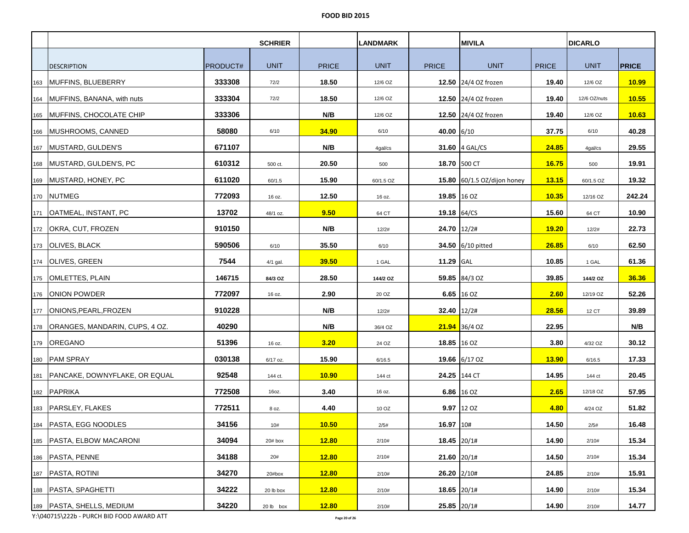|     |                                     |          | <b>SCHRIER</b> |              | <b>LANDMARK</b> |               | <b>MIVILA</b>               |              | <b>DICARLO</b> |              |
|-----|-------------------------------------|----------|----------------|--------------|-----------------|---------------|-----------------------------|--------------|----------------|--------------|
|     |                                     |          |                |              |                 |               |                             |              |                |              |
|     | <b>DESCRIPTION</b>                  | PRODUCT# | <b>UNIT</b>    | <b>PRICE</b> | <b>UNIT</b>     | <b>PRICE</b>  | <b>UNIT</b>                 | <b>PRICE</b> | <b>UNIT</b>    | <b>PRICE</b> |
| 163 | MUFFINS, BLUEBERRY                  | 333308   | 72/2           | 18.50        | 12/6 OZ         |               | 12.50 24/4 OZ frozen        | 19.40        | 12/6 OZ        | 10.99        |
|     | 164 MUFFINS, BANANA, with nuts      | 333304   | 72/2           | 18.50        | 12/6 OZ         |               | 12.50 24/4 OZ frozen        | 19.40        | 12/6 OZ/nuts   | 10.55        |
|     | 165 MUFFINS, CHOCOLATE CHIP         | 333306   |                | N/B          | 12/6 OZ         |               | 12.50 24/4 OZ frozen        | 19.40        | 12/6 OZ        | 10.63        |
|     | 166 MUSHROOMS, CANNED               | 58080    | 6/10           | 34.90        | 6/10            | 40.00 6/10    |                             | 37.75        | 6/10           | 40.28        |
|     | 167 MUSTARD, GULDEN'S               | 671107   |                | N/B          | 4gal/cs         |               | 31.60 4 GAL/CS              | 24.85        | 4gal/cs        | 29.55        |
|     | 168 MUSTARD, GULDEN'S, PC           | 610312   | 500 ct.        | 20.50        | 500             |               | 18.70 500 CT                | 16.75        | 500            | 19.91        |
|     | 169 MUSTARD, HONEY, PC              | 611020   | 60/1.5         | 15.90        | 60/1.5 OZ       |               | 15.80 60/1.5 OZ/dijon honey | <b>13.15</b> | 60/1.5 OZ      | 19.32        |
|     | 170 NUTMEG                          | 772093   | 16 oz.         | 12.50        | 16 oz.          | 19.85 16 OZ   |                             | 10.35        | 12/16 OZ       | 242.24       |
|     | 171   OATMEAL, INSTANT, PC          | 13702    | 48/1 oz.       | 9.50         | 64 CT           | 19.18 64/CS   |                             | 15.60        | 64 CT          | 10.90        |
|     | 172 OKRA, CUT, FROZEN               | 910150   |                | N/B          | 12/2#           | 24.70 12/2#   |                             | 19.20        | 12/2#          | 22.73        |
|     | 173 OLIVES, BLACK                   | 590506   | 6/10           | 35.50        | 6/10            |               | 34.50 6/10 pitted           | 26.85        | 6/10           | 62.50        |
|     | 174 OLIVES, GREEN                   | 7544     | 4/1 gal.       | 39.50        | 1 GAL           | 11.29 GAL     |                             | 10.85        | 1 GAL          | 61.36        |
|     | 175   OMLETTES, PLAIN               | 146715   | 84/3 OZ        | 28.50        | 144/2 OZ        |               | 59.85 84/3 OZ               | 39.85        | 144/2 OZ       | 36.36        |
|     | 176 ONION POWDER                    | 772097   | 16 oz.         | 2.90         | 20 OZ           |               | 6.65 16 OZ                  | 2.60         | 12/19 OZ       | 52.26        |
|     | 177  ONIONS,PEARL,FROZEN            | 910228   |                | N/B          | 12/2#           | 32.40 12/2#   |                             | 28.56        | 12 CT          | 39.89        |
|     | 178 ORANGES, MANDARIN, CUPS, 4 OZ.  | 40290    |                | N/B          | 36/4 OZ         |               | 21.94 36/4 OZ               | 22.95        |                | N/B          |
|     | 179 OREGANO                         | 51396    | 16 oz.         | 3.20         | 24 OZ           | 18.85 16 OZ   |                             | 3.80         | 4/32 OZ        | 30.12        |
|     | 180 PAM SPRAY                       | 030138   | 6/17 oz.       | 15.90        | 6/16.5          |               | 19.66 6/17 OZ               | 13.90        | 6/16.5         | 17.33        |
|     | 181   PANCAKE, DOWNYFLAKE, OR EQUAL | 92548    | 144 ct.        | 10.90        | 144 ct          |               | 24.25 144 CT                | 14.95        | 144 ct         | 20.45        |
|     | 182 PAPRIKA                         | 772508   | 16oz.          | 3.40         | 16 oz.          |               | 6.86 16 OZ                  | 2.65         | 12/18 OZ       | 57.95        |
|     | 183 PARSLEY, FLAKES                 | 772511   | 8 oz.          | 4.40         | 10 OZ           |               | 9.97 12 OZ                  | 4.80         | 4/24 OZ        | 51.82        |
|     | 184 PASTA, EGG NOODLES              | 34156    | 10#            | 10.50        | 2/5#            | 16.97 10#     |                             | 14.50        | 2/5#           | 16.48        |
|     | 185 PASTA, ELBOW MACARONI           | 34094    | 20# box        | 12.80        | 2/10#           | 18.45 20/1#   |                             | 14.90        | 2/10#          | 15.34        |
|     | 186 PASTA, PENNE                    | 34188    | 20#            | 12.80        | 2/10#           | 21.60 20/1#   |                             | 14.50        | 2/10#          | 15.34        |
|     | 187 PASTA, ROTINI                   | 34270    | 20#box         | <b>12.80</b> | 2/10#           | $26.20$ 2/10# |                             | 24.85        | 2/10#          | 15.91        |
|     | 188 PASTA, SPAGHETTI                | 34222    | 20 lb box      | <b>12.80</b> | 2/10#           | 18.65 20/1#   |                             | 14.90        | 2/10#          | 15.34        |
|     | 189   PASTA, SHELLS, MEDIUM         | 34220    | 20 lb box      | 12.80        | 2/10#           | 25.85 20/1#   |                             | 14.90        | 2/10#          | 14.77        |

Y:\040715\222b - PURCH BID FOOD AWARD ATT **Page 20 of 26**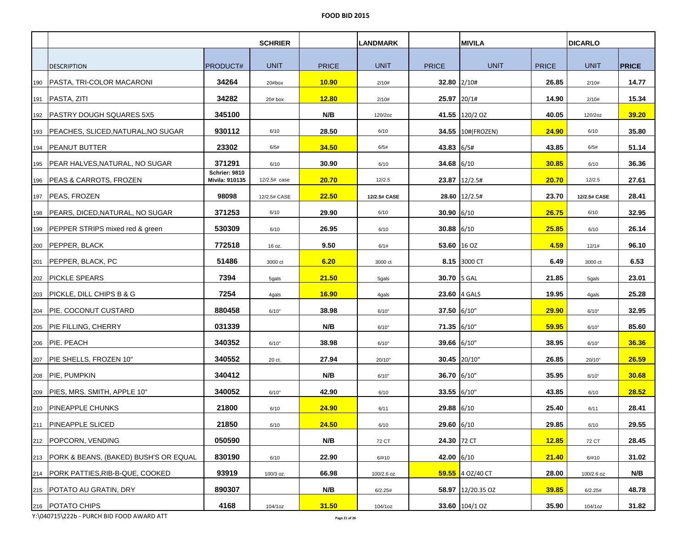|     |                                           |                                        | <b>SCHRIER</b> |              | <b>LANDMARK</b> |              | <b>MIVILA</b>      |              | <b>DICARLO</b> |              |
|-----|-------------------------------------------|----------------------------------------|----------------|--------------|-----------------|--------------|--------------------|--------------|----------------|--------------|
|     |                                           |                                        |                |              |                 |              |                    |              |                |              |
|     | <b>DESCRIPTION</b>                        | PRODUCT#                               | <b>UNIT</b>    | <b>PRICE</b> | <b>UNIT</b>     | <b>PRICE</b> | <b>UNIT</b>        | <b>PRICE</b> | <b>UNIT</b>    | <b>PRICE</b> |
| 190 | PASTA, TRI-COLOR MACARONI                 | 34264                                  | 20#box         | <b>10.90</b> | 2/10#           | 32.80 2/10#  |                    | 26.85        | 2/10#          | 14.77        |
|     | 191   PASTA, ZITI                         | 34282                                  | $20#$ box      | <b>12.80</b> | 2/10#           | 25.97 20/1#  |                    | 14.90        | 2/10#          | 15.34        |
|     | 192   PASTRY DOUGH SQUARES 5X5            | 345100                                 |                | N/B          | 120/2oz         |              | 41.55 120/2 OZ     | 40.05        | 120/2oz        | 39.20        |
|     | 193 PEACHES, SLICED, NATURAL, NO SUGAR    | 930112                                 | 6/10           | 28.50        | 6/10            |              | 34.55 10#(FROZEN)  | 24.90        | 6/10           | 35.80        |
|     | 194   PEANUT BUTTER                       | 23302                                  | 6/5#           | 34.50        | 6/5#            | 43.83 6/5#   |                    | 43.85        | 6/5#           | 51.14        |
|     | 195   PEAR HALVES, NATURAL, NO SUGAR      | 371291                                 | 6/10           | 30.90        | 6/10            | $34.68$ 6/10 |                    | 30.85        | 6/10           | 36.36        |
|     | 196   PEAS & CARROTS, FROZEN              | <b>Schrier: 9810</b><br>Mivila: 910135 | 12/2.5# case   | 20.70        | 12/2.5          |              | 23.87 12/2.5#      | 20.70        | 12/2.5         | 27.61        |
|     | 197   PEAS, FROZEN                        | 98098                                  | 12/2.5# CASE   | 22.50        | 12/2.5# CASE    |              | 28.60 12/2.5#      | 23.70        | 12/2.5# CASE   | 28.41        |
|     | 198 PEARS, DICED, NATURAL, NO SUGAR       | 371253                                 | 6/10           | 29.90        | 6/10            | $30.90$ 6/10 |                    | 26.75        | 6/10           | 32.95        |
|     | 199   PEPPER STRIPS mixed red & green     | 530309                                 | 6/10           | 26.95        | 6/10            | $30.88$ 6/10 |                    | 25.85        | 6/10           | 26.14        |
|     | 200 PEPPER, BLACK                         | 772518                                 | 16 oz.         | 9.50         | 6/1#            | 53.60 16 OZ  |                    | 4.59         | 12/1#          | 96.10        |
|     | 201 PEPPER, BLACK, PC                     | 51486                                  | 3000 ct        | 6.20         | 3000 ct         |              | 8.15 3000 CT       | 6.49         | 3000 ct        | 6.53         |
|     | 202   PICKLE SPEARS                       | 7394                                   | 5gals          | 21.50        | 5qals           | 30.70 5 GAL  |                    | 21.85        | 5gals          | 23.01        |
|     | 203 PICKLE, DILL CHIPS B & G              | 7254                                   | 4gals          | <b>16.90</b> | 4gals           |              | 23.60 4 GALS       | 19.95        | 4gals          | 25.28        |
|     | 204   PIE. COCONUT CUSTARD                | 880458                                 | 6/10"          | 38.98        | 6/10"           | 37.50 6/10"  |                    | 29.90        | 6/10"          | 32.95        |
|     | 205 PIE FILLING, CHERRY                   | 031339                                 |                | N/B          | 6/10"           | 71.35 6/10"  |                    | 59.95        | 6/10"          | 85.60        |
|     | 206 PIE. PEACH                            | 340352                                 | 6/10"          | 38.98        | 6/10"           | 39.66 6/10"  |                    | 38.95        | 6/10"          | 36.36        |
|     | 207 PIE SHELLS, FROZEN 10"                | 340552                                 | 20 ct.         | 27.94        | 20/10"          |              | 30.45 20/10"       | 26.85        | 20/10"         | 26.59        |
|     | 208 PIE, PUMPKIN                          | 340412                                 |                | N/B          | 6/10"           | 36.70 6/10"  |                    | 35.95        | 6/10"          | 30.68        |
|     | 209   PIES, MRS. SMITH, APPLE 10"         | 340052                                 | 6/10"          | 42.90        | 6/10            | 33.55 6/10"  |                    | 43.85        | 6/10           | 28.52        |
|     | 210 PINEAPPLE CHUNKS                      | 21800                                  | 6/10           | 24.90        | 6/11            | 29.88 6/10   |                    | 25.40        | 6/11           | 28.41        |
|     | 211 PINEAPPLE SLICED                      | 21850                                  | 6/10           | 24.50        | 6/10            | 29.60 6/10   |                    | 29.85        | 6/10           | 29.55        |
|     | 212 POPCORN, VENDING                      | 050590                                 |                | N/B          | 72 CT           | 24.30 72 CT  |                    | 12.85        | 72 CT          | 28.45        |
|     | 213 PORK & BEANS, (BAKED) BUSH'S OR EQUAL | 830190                                 | 6/10           | 22.90        | 6/#10           | 42.00 6/10   |                    | 21.40        | 6/#10          | 31.02        |
|     | 214 PORK PATTIES, RIB-B-QUE, COOKED       | 93919                                  | 100/3 oz.      | 66.98        | 100/2.6 oz      |              | $59.55$ 4 OZ/40 CT | 28.00        | 100/2.6 oz     | N/B          |
|     | 215 POTATO AU GRATIN, DRY                 | 890307                                 |                | N/B          | 6/2.25#         |              | 58.97 12/20.35 OZ  | 39.85        | 6/2.25#        | 48.78        |
|     | 216   POTATO CHIPS                        | 4168                                   | 104/1oz        | 31.50        | 104/1oz         |              | 33.60 104/1 OZ     | 35.90        | 104/1oz        | 31.82        |

Y:\040715\222b - PURCH BID FOOD AWARD ATT **Page 21 of 26**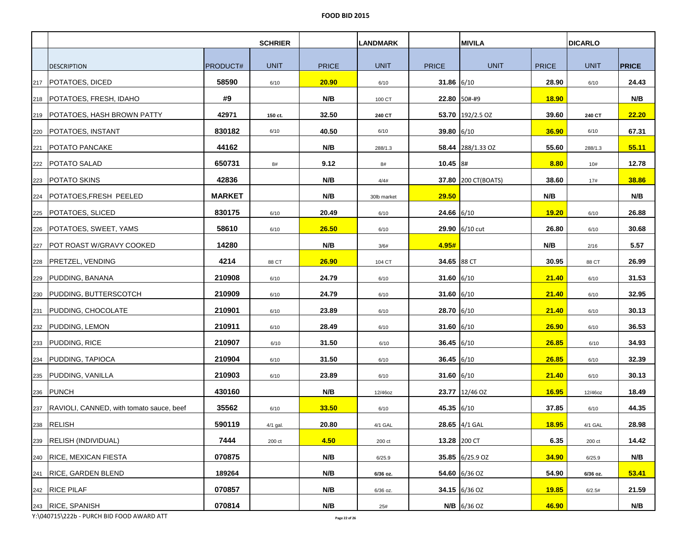|     |                                              |                 | <b>SCHRIER</b> |              | <b>LANDMARK</b> |              | <b>MIVILA</b>       |              | <b>DICARLO</b> |              |
|-----|----------------------------------------------|-----------------|----------------|--------------|-----------------|--------------|---------------------|--------------|----------------|--------------|
|     |                                              |                 |                |              |                 |              |                     |              |                |              |
|     | <b>DESCRIPTION</b>                           | <b>PRODUCT#</b> | <b>UNIT</b>    | <b>PRICE</b> | <b>UNIT</b>     | <b>PRICE</b> | <b>UNIT</b>         | <b>PRICE</b> | <b>UNIT</b>    | <b>PRICE</b> |
| 217 | <b>POTATOES, DICED</b>                       | 58590           | 6/10           | 20.90        | 6/10            | 31.86 $6/10$ |                     | 28.90        | 6/10           | 24.43        |
|     | 218   POTATOES, FRESH, IDAHO                 | #9              |                | N/B          | 100 CT          |              | 22.80 50#-#9        | <b>18.90</b> |                | N/B          |
|     | 219   POTATOES, HASH BROWN PATTY             | 42971           | 150 ct.        | 32.50        | 240 CT          |              | 53.70 192/2.5 OZ    | 39.60        | 240 CT         | 22.20        |
|     | 220 POTATOES, INSTANT                        | 830182          | 6/10           | 40.50        | 6/10            | 39.80 $6/10$ |                     | 36.90        | 6/10           | 67.31        |
|     | 221   POTATO PANCAKE                         | 44162           |                | N/B          | 288/1.3         |              | 58.44 288/1.33 OZ   | 55.60        | 288/1.3        | 55.11        |
|     | 222   POTATO SALAD                           | 650731          | 8#             | 9.12         | 8#              | $10.45$ 8#   |                     | 8.80         | 10#            | 12.78        |
|     | 223   POTATO SKINS                           | 42836           |                | N/B          | 4/4#            |              | 37.80 200 CT(BOATS) | 38.60        | 17#            | 38.86        |
|     | 224   POTATOES, FRESH PEELED                 | <b>MARKET</b>   |                | N/B          | 30lb market     | 29.50        |                     | N/B          |                | N/B          |
|     | 225 POTATOES, SLICED                         | 830175          | 6/10           | 20.49        | 6/10            | $24.66$ 6/10 |                     | 19.20        | 6/10           | 26.88        |
|     | 226   POTATOES, SWEET, YAMS                  | 58610           | 6/10           | 26.50        | 6/10            |              | 29.90 6/10 cut      | 26.80        | 6/10           | 30.68        |
|     | 227 POT ROAST W/GRAVY COOKED                 | 14280           |                | N/B          | 3/6#            | 4.95#        |                     | N/B          | 2/16           | 5.57         |
|     | 228 PRETZEL, VENDING                         | 4214            | 88 CT          | 26.90        | 104 CT          | 34.65 88 CT  |                     | 30.95        | 88 CT          | 26.99        |
|     | 229 PUDDING, BANANA                          | 210908          | 6/10           | 24.79        | 6/10            | 31.60 $6/10$ |                     | 21.40        | 6/10           | 31.53        |
|     | 230 PUDDING, BUTTERSCOTCH                    | 210909          | 6/10           | 24.79        | 6/10            | 31.60 6/10   |                     | 21.40        | 6/10           | 32.95        |
|     | 231 PUDDING, CHOCOLATE                       | 210901          | 6/10           | 23.89        | 6/10            | 28.70 6/10   |                     | 21.40        | 6/10           | 30.13        |
|     | 232 PUDDING, LEMON                           | 210911          | 6/10           | 28.49        | 6/10            | 31.60 6/10   |                     | 26.90        | 6/10           | 36.53        |
|     | 233 PUDDING, RICE                            | 210907          | 6/10           | 31.50        | 6/10            | $36.45$ 6/10 |                     | 26.85        | 6/10           | 34.93        |
|     | 234 PUDDING, TAPIOCA                         | 210904          | 6/10           | 31.50        | 6/10            | 36.45 6/10   |                     | 26.85        | 6/10           | 32.39        |
|     | 235 PUDDING, VANILLA                         | 210903          | 6/10           | 23.89        | 6/10            | $31.60$ 6/10 |                     | 21.40        | 6/10           | 30.13        |
|     | 236 PUNCH                                    | 430160          |                | N/B          | 12/46oz         |              | 23.77 12/46 OZ      | 16.95        | 12/46oz        | 18.49        |
|     | 237 RAVIOLI, CANNED, with tomato sauce, beef | 35562           | 6/10           | 33.50        | 6/10            | 45.35 6/10   |                     | 37.85        | 6/10           | 44.35        |
|     | 238 RELISH                                   | 590119          | 4/1 gal.       | 20.80        | 4/1 GAL         |              | 28.65 4/1 GAL       | 18.95        | 4/1 GAL        | 28.98        |
|     | 239 RELISH (INDIVIDUAL)                      | 7444            | 200 ct         | 4.50         | 200 ct          |              | 13.28 200 CT        | 6.35         | 200 ct         | 14.42        |
|     | 240 RICE, MEXICAN FIESTA                     | 070875          |                | N/B          | 6/25.9          |              | 35.85 6/25.9 OZ     | 34.90        | 6/25.9         | N/B          |
|     | 241 RICE, GARDEN BLEND                       | 189264          |                | N/B          | 6/36 oz.        |              | 54.60 6/36 OZ       | 54.90        | 6/36 oz.       | 53.41        |
|     | 242 RICE PILAF                               | 070857          |                | N/B          | 6/36 oz.        |              | 34.15 6/36 OZ       | 19.85        | 6/2.5#         | 21.59        |
|     | 243 RICE, SPANISH                            | 070814          |                | N/B          | 25#             |              | $N/B$ 6/36 OZ       | 46.90        |                | N/B          |

Y:\040715\222b - PURCH BID FOOD AWARD ATT **Page 22 of 26**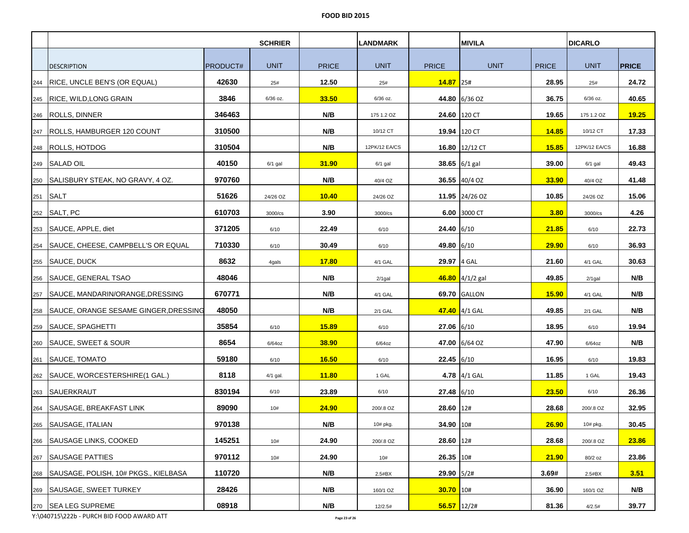|     |                                             |                 | <b>SCHRIER</b> |              | <b>LANDMARK</b> |               | <b>MIVILA</b>     |              | <b>DICARLO</b> |              |
|-----|---------------------------------------------|-----------------|----------------|--------------|-----------------|---------------|-------------------|--------------|----------------|--------------|
|     |                                             |                 |                |              |                 |               |                   |              |                |              |
|     | <b>DESCRIPTION</b>                          | <b>PRODUCT#</b> | <b>UNIT</b>    | <b>PRICE</b> | <b>UNIT</b>     | <b>PRICE</b>  | <b>UNIT</b>       | <b>PRICE</b> | <b>UNIT</b>    | <b>PRICE</b> |
|     | 244   RICE, UNCLE BEN'S (OR EQUAL)          | 42630           | 25#            | 12.50        | 25#             | 14.87 25#     |                   | 28.95        | 25#            | 24.72        |
|     | 245 RICE, WILD, LONG GRAIN                  | 3846            | 6/36 oz.       | 33.50        | 6/36 oz.        |               | 44.80 6/36 OZ     | 36.75        | 6/36 oz.       | 40.65        |
|     | 246   ROLLS, DINNER                         | 346463          |                | N/B          | 175 1.2 OZ      |               | 24.60 120 CT      | 19.65        | 175 1.2 OZ     | 19.25        |
|     | 247   ROLLS, HAMBURGER 120 COUNT            | 310500          |                | N/B          | 10/12 CT        |               | 19.94 120 CT      | <b>14.85</b> | 10/12 CT       | 17.33        |
|     | 248 ROLLS, HOTDOG                           | 310504          |                | N/B          | 12PK/12 EA/CS   |               | 16.80 12/12 CT    | <b>15.85</b> | 12PK/12 EA/CS  | 16.88        |
|     | 249 SALAD OIL                               | 40150           | $6/1$ gal      | <b>31.90</b> | $6/1$ gal       |               | 38.65 $6/1$ gal   | 39.00        | 6/1 gal        | 49.43        |
|     | 250 SALISBURY STEAK, NO GRAVY, 4 OZ.        | 970760          |                | N/B          | 40/4 OZ         |               | 36.55 40/4 OZ     | 33.90        | 40/4 OZ        | 41.48        |
|     | 251 SALT                                    | 51626           | 24/26 OZ       | <b>10.40</b> | 24/26 OZ        |               | 11.95 24/26 OZ    | 10.85        | 24/26 OZ       | 15.06        |
|     | 252 SALT, PC                                | 610703          | 3000/cs        | 3.90         | 3000/cs         |               | 6.00 3000 CT      | 3.80         | 3000/cs        | 4.26         |
|     | 253 SAUCE, APPLE, diet                      | 371205          | 6/10           | 22.49        | 6/10            | 24.40 6/10    |                   | 21.85        | 6/10           | 22.73        |
|     | 254   SAUCE, CHEESE, CAMPBELL'S OR EQUAL    | 710330          | 6/10           | 30.49        | 6/10            | 49.80 6/10    |                   | 29.90        | 6/10           | 36.93        |
|     | 255 SAUCE, DUCK                             | 8632            | 4gals          | 17.80        | 4/1 GAL         | 29.97 4 GAL   |                   | 21.60        | 4/1 GAL        | 30.63        |
|     | 256 SAUCE, GENERAL TSAO                     | 48046           |                | N/B          | $2/1$ gal       |               | $46.80$ 4/1/2 gal | 49.85        | $2/1$ gal      | N/B          |
|     | 257   SAUCE, MANDARIN/ORANGE, DRESSING      | 670771          |                | N/B          | 4/1 GAL         |               | 69.70 GALLON      | 15.90        | 4/1 GAL        | N/B          |
|     | 258   SAUCE, ORANGE SESAME GINGER, DRESSING | 48050           |                | N/B          | 2/1 GAL         |               | 47.40 4/1 GAL     | 49.85        | 2/1 GAL        | N/B          |
|     | 259 SAUCE, SPAGHETTI                        | 35854           | 6/10           | 15.89        | 6/10            | 27.06 6/10    |                   | 18.95        | 6/10           | 19.94        |
|     | 260 SAUCE, SWEET & SOUR                     | 8654            | $6/64$ oz      | 38.90        | $6/64$ oz       |               | 47.00 6/64 OZ     | 47.90        | $6/64$ oz      | N/B          |
|     | 261 SAUCE, TOMATO                           | 59180           | 6/10           | 16.50        | 6/10            | $22.45$ 6/10  |                   | 16.95        | 6/10           | 19.83        |
|     | 262   SAUCE, WORCESTERSHIRE(1 GAL.)         | 8118            | 4/1 gal.       | <b>11.80</b> | 1 GAL           |               | 4.78 4/1 GAL      | 11.85        | 1 GAL          | 19.43        |
|     | 263 SAUERKRAUT                              | 830194          | 6/10           | 23.89        | 6/10            | $27.48$ 6/10  |                   | 23.50        | 6/10           | 26.36        |
| 264 | SAUSAGE, BREAKFAST LINK                     | 89090           | 10#            | 24.90        | 200/.8 OZ       | 28.60 12#     |                   | 28.68        | 200/.8 OZ      | 32.95        |
| 265 | SAUSAGE, ITALIAN                            | 970138          |                | N/B          | 10# pkg.        | 34.90 10#     |                   | 26.90        | 10# pkg.       | 30.45        |
|     | 266 SAUSAGE LINKS, COOKED                   | 145251          | 10#            | 24.90        | 200/.8 OZ       | 28.60 12#     |                   | 28.68        | 200/.8 OZ      | 23.86        |
|     | 267 SAUSAGE PATTIES                         | 970112          | 10#            | 24.90        | 10#             | 26.35 10#     |                   | 21.90        | 80/2 oz        | 23.86        |
|     | 268   SAUSAGE, POLISH, 10# PKGS., KIELBASA  | 110720          |                | N/B          | 2.5#BX          | 29.90 5/2#    |                   | 3.69#        | 2.5#BX         | 3.51         |
|     | 269   SAUSAGE, SWEET TURKEY                 | 28426           |                | N/B          | 160/1 OZ        | 30.70 10#     |                   | 36.90        | 160/1 OZ       | N/B          |
|     | 270 SEA LEG SUPREME                         | 08918           |                | N/B          | 12/2.5#         | $56.57$ 12/2# |                   | 81.36        | 4/2.5#         | 39.77        |

Y:\040715\222b - PURCH BID FOOD AWARD ATT **Page 23 of 26**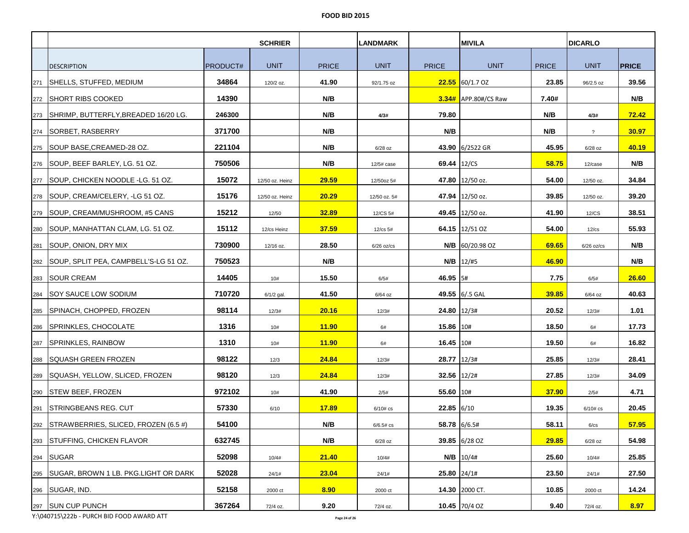|     |                                             |          | <b>SCHRIER</b>  |              | <b>LANDMARK</b> |              | <b>MIVILA</b>        |              | <b>DICARLO</b> |              |
|-----|---------------------------------------------|----------|-----------------|--------------|-----------------|--------------|----------------------|--------------|----------------|--------------|
|     |                                             |          |                 |              |                 |              |                      |              |                |              |
|     | <b>DESCRIPTION</b>                          | PRODUCT# | <b>UNIT</b>     | <b>PRICE</b> | <b>UNIT</b>     | <b>PRICE</b> | <b>UNIT</b>          | <b>PRICE</b> | <b>UNIT</b>    | <b>PRICE</b> |
| 271 | ISHELLS, STUFFED, MEDIUM                    | 34864    | 120/2 oz.       | 41.90        | 92/1.75 oz      |              | $22.55$ 60/1.7 OZ    | 23.85        | 96/2.5 oz      | 39.56        |
|     | 272 SHORT RIBS COOKED                       | 14390    |                 | N/B          |                 |              | 3.34# APP.80#/CS Raw | 7.40#        |                | N/B          |
|     | 273 SHRIMP, BUTTERFLY, BREADED 16/20 LG.    | 246300   |                 | N/B          | 4/3#            | 79.80        |                      | N/B          | 4/3#           | 72.42        |
|     | 274   SORBET, RASBERRY                      | 371700   |                 | N/B          |                 | N/B          |                      | N/B          | $\gamma$       | 30.97        |
|     | 275   SOUP BASE, CREAMED-28 OZ.             | 221104   |                 | N/B          | $6/28$ oz       |              | 43.90 6/2522 GR      | 45.95        | $6/28$ oz      | 40.19        |
|     | 276   SOUP, BEEF BARLEY, LG. 51 OZ.         | 750506   |                 | N/B          | 12/5# case      | 69.44 12/CS  |                      | 58.75        | 12/case        | N/B          |
|     | 277   SOUP, CHICKEN NOODLE - LG. 51 OZ.     | 15072    | 12/50 oz. Heinz | 29.59        | 12/50oz 5#      |              | 47.80 12/50 oz.      | 54.00        | 12/50 oz.      | 34.84        |
|     | 278   SOUP, CREAM/CELERY, -LG 51 OZ.        | 15176    | 12/50 oz. Heinz | 20.29        | 12/50 oz. 5#    |              | 47.94 12/50 oz.      | 39.85        | 12/50 oz.      | 39.20        |
|     | 279 SOUP. CREAM/MUSHROOM, #5 CANS           | 15212    | 12/50           | 32.89        | 12/CS 5#        |              | 49.45 12/50 oz.      | 41.90        | 12/CS          | 38.51        |
|     | 280 SOUP, MANHATTAN CLAM, LG. 51 OZ.        | 15112    | 12/cs Heinz     | 37.59        | 12/cs 5#        |              | 64.15 12/51 OZ       | 54.00        | $12$ / $cs$    | 55.93        |
|     | 281 SOUP, ONION, DRY MIX                    | 730900   | 12/16 oz.       | 28.50        | $6/26$ oz/cs    |              | $N/B$ 60/20.98 OZ    | 69.65        | $6/26$ oz/cs   | N/B          |
|     | 282   SOUP, SPLIT PEA, CAMPBELL'S-LG 51 OZ. | 750523   |                 | N/B          |                 |              | $N/B$   12/#5        | 46.90        |                | N/B          |
|     | 283 SOUR CREAM                              | 14405    | 10#             | 15.50        | 6/5#            | 46.95 5#     |                      | 7.75         | 6/5#           | 26.60        |
|     | 284 SOY SAUCE LOW SODIUM                    | 710720   | $6/1/2$ gal.    | 41.50        | 6/64 oz         |              | 49.55 6/.5 GAL       | 39.85        | 6/64 oz        | 40.63        |
|     | 285   SPINACH, CHOPPED, FROZEN              | 98114    | 12/3#           | 20.16        | 12/3#           | 24.80 12/3#  |                      | 20.52        | 12/3#          | 1.01         |
|     | 286 SPRINKLES, CHOCOLATE                    | 1316     | 10#             | 11.90        | 6#              | 15.86 10#    |                      | 18.50        | 6#             | 17.73        |
|     | 287 SPRINKLES, RAINBOW                      | 1310     | 10#             | <b>11.90</b> | 6#              | 16.45 10#    |                      | 19.50        | 6#             | 16.82        |
|     | 288   SQUASH GREEN FROZEN                   | 98122    | 12/3            | 24.84        | 12/3#           | 28.77 12/3#  |                      | 25.85        | 12/3#          | 28.41        |
|     | 289   SQUASH, YELLOW, SLICED, FROZEN        | 98120    | 12/3            | 24.84        | 12/3#           | 32.56 12/2#  |                      | 27.85        | 12/3#          | 34.09        |
|     | 290 STEW BEEF, FROZEN                       | 972102   | 10#             | 41.90        | 2/5#            | 55.60 10#    |                      | 37.90        | 2/5#           | 4.71         |
|     | 291 STRINGBEANS REG. CUT                    | 57330    | 6/10            | 17.89        | $6/10#$ cs      | 22.85 6/10   |                      | 19.35        | $6/10$ # cs    | 20.45        |
| 292 | STRAWBERRIES, SLICED, FROZEN (6.5 #)        | 54100    |                 | N/B          | 6/6.5#cs        | 58.78 6/6.5# |                      | 58.11        | 6/cs           | 57.95        |
|     | 293 STUFFING, CHICKEN FLAVOR                | 632745   |                 | N/B          | $6/28$ oz       |              | 39.85 6/28 OZ        | 29.85        | $6/28$ oz      | 54.98        |
|     | 294 SUGAR                                   | 52098    | 10/4#           | 21.40        | 10/4#           |              | $N/B$ 10/4#          | 25.60        | 10/4#          | 25.85        |
|     | 295   SUGAR, BROWN 1 LB. PKG.LIGHT OR DARK  | 52028    | 24/1#           | <b>23.04</b> | 24/1#           | 25.80 24/1#  |                      | 23.50        | 24/1#          | 27.50        |
|     | 296   SUGAR, IND.                           | 52158    | 2000 ct         | 8.90         | 2000 ct         |              | 14.30 2000 CT.       | 10.85        | 2000 ct        | 14.24        |
|     | 297 SUN CUP PUNCH                           | 367264   | 72/4 oz.        | 9.20         | 72/4 oz.        |              | 10.45 70/4 OZ        | 9.40         | 72/4 oz.       | 8.97         |

Y:\040715\222b - PURCH BID FOOD AWARD ATT **Page 24 of 26**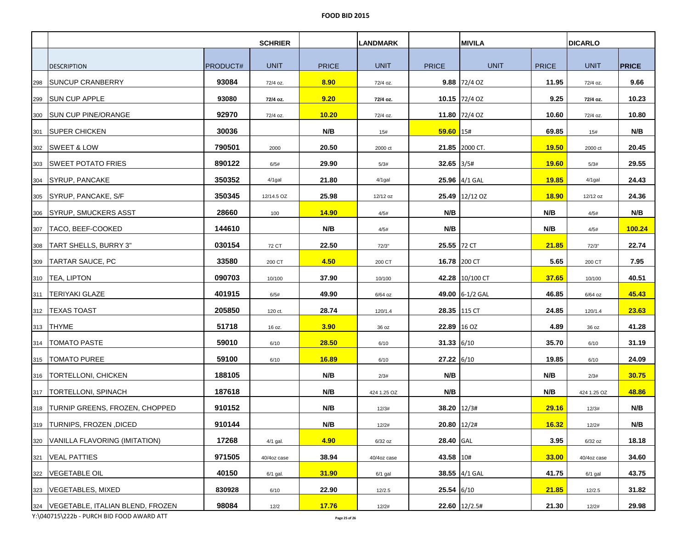|     | <b>SCHRIER</b>                         |                 | <b>LANDMARK</b> |              | <b>MIVILA</b> |              |                       | <b>DICARLO</b> |             |              |
|-----|----------------------------------------|-----------------|-----------------|--------------|---------------|--------------|-----------------------|----------------|-------------|--------------|
|     |                                        |                 |                 |              |               |              |                       |                |             |              |
|     | <b>DESCRIPTION</b>                     | <b>PRODUCT#</b> | <b>UNIT</b>     | <b>PRICE</b> | <b>UNIT</b>   | <b>PRICE</b> | <b>UNIT</b>           | <b>PRICE</b>   | <b>UNIT</b> | <b>PRICE</b> |
| 298 | <b>SUNCUP CRANBERRY</b>                | 93084           | 72/4 oz.        | 8.90         | 72/4 oz.      |              | $9.88$ 72/4 OZ        | 11.95          | 72/4 oz.    | 9.66         |
|     | 299 SUN CUP APPLE                      | 93080           | 72/4 oz.        | 9.20         | 72/4 oz.      |              | 10.15 72/4 OZ         | 9.25           | 72/4 oz.    | 10.23        |
| 300 | <b>ISUN CUP PINE/ORANGE</b>            | 92970           | 72/4 oz.        | 10.20        | 72/4 oz.      |              | 11.80 72/4 OZ         | 10.60          | 72/4 oz.    | 10.80        |
|     | 301 SUPER CHICKEN                      | 30036           |                 | N/B          | 15#           | $59.60$ 15#  |                       | 69.85          | 15#         | N/B          |
|     | 302 SWEET & LOW                        | 790501          | 2000            | 20.50        | 2000 ct       |              | 21.85 2000 CT.        | 19.50          | 2000 ct     | 20.45        |
|     | 303   SWEET POTATO FRIES               | 890122          | 6/5#            | 29.90        | 5/3#          | $32.65$ 3/5# |                       | 19.60          | 5/3#        | 29.55        |
|     | 304 SYRUP, PANCAKE                     | 350352          | 4/1gal          | 21.80        | $4/1$ gal     |              | 25.96 4/1 GAL         | 19.85          | $4/1$ gal   | 24.43        |
|     | 305 SYRUP, PANCAKE, S/F                | 350345          | 12/14.5 OZ      | 25.98        | 12/12 oz      |              | <b>25.49</b> 12/12 OZ | <b>18.90</b>   | 12/12 oz    | 24.36        |
|     | 306 SYRUP, SMUCKERS ASST               | 28660           | 100             | <b>14.90</b> | 4/5#          | N/B          |                       | N/B            | 4/5#        | N/B          |
| 307 | TACO, BEEF-COOKED                      | 144610          |                 | N/B          | 4/5#          | N/B          |                       | N/B            | 4/5#        | 100.24       |
| 308 | <b>TART SHELLS, BURRY 3"</b>           | 030154          | 72 CT           | 22.50        | 72/3"         | 25.55 72 CT  |                       | 21.85          | 72/3"       | 22.74        |
| 309 | <b>TARTAR SAUCE, PC</b>                | 33580           | 200 CT          | 4.50         | 200 CT        |              | 16.78 200 CT          | 5.65           | 200 CT      | 7.95         |
|     | 310   TEA, LIPTON                      | 090703          | 10/100          | 37.90        | 10/100        |              | 42.28 10/100 CT       | 37.65          | 10/100      | 40.51        |
|     | 311   TERIYAKI GLAZE                   | 401915          | 6/5#            | 49.90        | $6/64$ oz     |              | 49.00 6-1/2 GAL       | 46.85          | 6/64 oz     | 45.43        |
|     | 312   TEXAS TOAST                      | 205850          | 120 ct.         | 28.74        | 120/1.4       |              | 28.35 115 CT          | 24.85          | 120/1.4     | 23.63        |
|     | 313 THYME                              | 51718           | 16 oz.          | 3.90         | 36 oz         | 22.89 16 OZ  |                       | 4.89           | 36 oz       | 41.28        |
| 314 | <b>TOMATO PASTE</b>                    | 59010           | 6/10            | <b>28.50</b> | 6/10          | $31.33$ 6/10 |                       | 35.70          | 6/10        | 31.19        |
|     | 315   TOMATO PUREE                     | 59100           | 6/10            | 16.89        | 6/10          | 27.22 6/10   |                       | 19.85          | 6/10        | 24.09        |
|     | 316   TORTELLONI, CHICKEN              | 188105          |                 | N/B          | 2/3#          | N/B          |                       | N/B            | 2/3#        | 30.75        |
|     | 317   TORTELLONI, SPINACH              | 187618          |                 | N/B          | 424 1.25 OZ   | N/B          |                       | N/B            | 424 1.25 OZ | 48.86        |
|     | 318  TURNIP GREENS, FROZEN, CHOPPED    | 910152          |                 | N/B          | 12/3#         | 38.20 12/3#  |                       | 29.16          | 12/3#       | N/B          |
| 319 | TURNIPS, FROZEN , DICED                | 910144          |                 | N/B          | 12/2#         | 20.80 12/2#  |                       | 16.32          | 12/2#       | N/B          |
|     | 320 VANILLA FLAVORING (IMITATION)      | 17268           | 4/1 gal.        | 4.90         | $6/32$ oz     | 28.40 GAL    |                       | 3.95           | 6/32 oz     | 18.18        |
|     | 321   VEAL PATTIES                     | 971505          | 40/4oz case     | 38.94        | 40/4oz case   | 43.58 10#    |                       | 33.00          | 40/4oz case | 34.60        |
|     | 322   VEGETABLE OIL                    | 40150           | 6/1 gal.        | 31.90        | $6/1$ gal     |              | 38.55 4/1 GAL         | 41.75          | $6/1$ gal   | 43.75        |
| 323 | <b>VEGETABLES, MIXED</b>               | 830928          | 6/10            | 22.90        | 12/2.5        | $25.54$ 6/10 |                       | 21.85          | 12/2.5      | 31.82        |
|     | 324   VEGETABLE, ITALIAN BLEND, FROZEN | 98084           | 12/2            | 17.76        | 12/2#         |              | 22.60 12/2.5#         | 21.30          | 12/2#       | 29.98        |

Y:\040715\222b - PURCH BID FOOD AWARD ATT **Page 25 of 26**